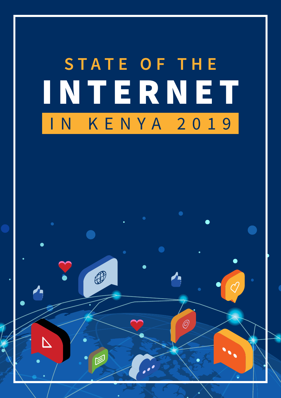# INTERNET **STATE OF THE** IN KENYA 2019

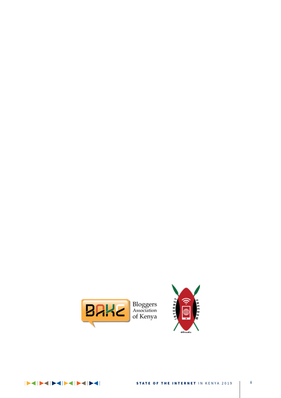



EXPORTED THE TABLE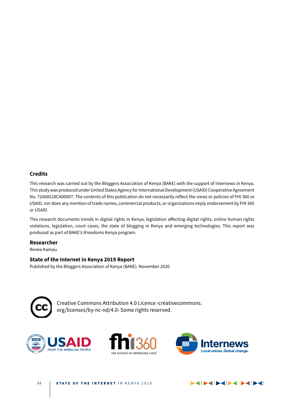### **Credits**

This research was carried out by the Bloggers Association of Kenya (BAKE) with the support of Internews in Kenya. This study was produced under United States Agency for International Development (USAID) Cooperative Agreement No. 72068518CA00007. The contents of this publication do not necessarily reflect the views or policies of FHI 360 or USAID, nor does any mention of trade names, commercial products, or organizations imply endorsement by FHI 360 or USAID.

This research documents trends in digital rights in Kenya, legislation affecting digital rights, online human rights violations, legislation, court cases, the state of blogging in Kenya and emerging technologies. This report was produced as part of BAKE's iFreedoms Kenya program.

#### **Researcher**

Renee Kamau

### **State of the Internet in Kenya 2019 Report**

Published by the Bloggers Association of Kenya (BAKE). November 2020



Creative Commons Attribution 4.0 Licence ‹creativecommons. org/licenses/by-nc-nd/4.0› Some rights reserved.





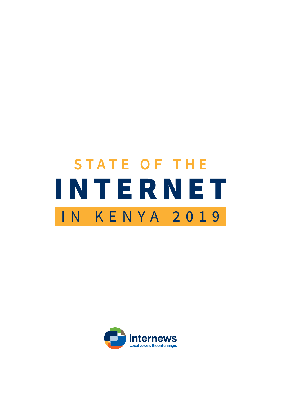# INTERNET **STATE OF THE** IN KENYA 2019

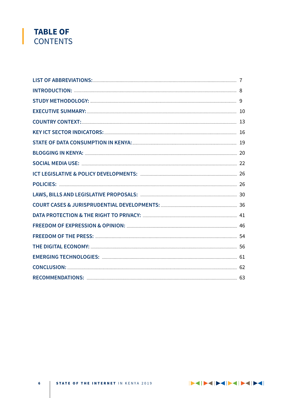### **TABLE OF CONTENTS**

ENDEPENDENCE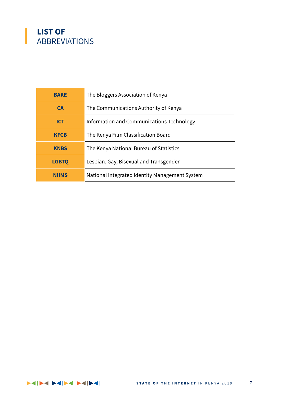### **LIST OF**  ABBREVIATIONS

| <b>BAKE</b>  | The Bloggers Association of Kenya              |
|--------------|------------------------------------------------|
| <b>CA</b>    | The Communications Authority of Kenya          |
| <b>ICT</b>   | Information and Communications Technology      |
| <b>KFCB</b>  | The Kenya Film Classification Board            |
| <b>KNBS</b>  | The Kenya National Bureau of Statistics        |
| <b>LGBTQ</b> | Lesbian, Gay, Bisexual and Transgender         |
| <b>NIIMS</b> | National Integrated Identity Management System |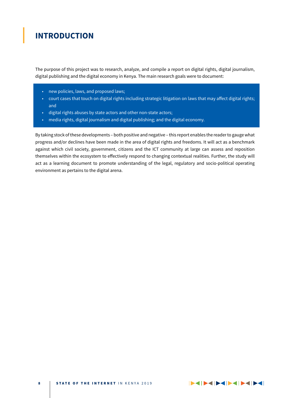### **INTRODUCTION**

The purpose of this project was to research, analyze, and compile a report on digital rights, digital journalism, digital publishing and the digital economy in Kenya. The main research goals were to document:

- • new policies, laws, and proposed laws;
- court cases that touch on digital rights including strategic litigation on laws that may affect digital rights; and
- digital rights abuses by state actors and other non-state actors;
- media rights, digital journalism and digital publishing; and the digital economy.

By taking stock of these developments – both positive and negative – this report enables the reader to gauge what progress and/or declines have been made in the area of digital rights and freedoms. It will act as a benchmark against which civil society, government, citizens and the ICT community at large can assess and reposition themselves within the ecosystem to effectively respond to changing contextual realities. Further, the study will act as a learning document to promote understanding of the legal, regulatory and socio-political operating environment as pertains to the digital arena.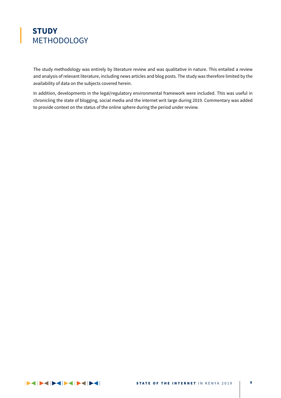### **STUDY** METHODOLOGY

The study methodology was entirely by literature review and was qualitative in nature. This entailed a review and analysis of relevant literature, including news articles and blog posts. The study was therefore limited by the availability of data on the subjects covered herein.

In addition, developments in the legal/regulatory environmental framework were included. This was useful in chronicling the state of blogging, social media and the internet writ large during 2019. Commentary was added to provide context on the status of the online sphere during the period under review.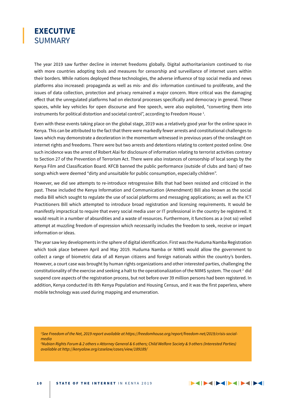### **EXECUTIVE SUMMARY**

The year 2019 saw further decline in internet freedoms globally. Digital authoritarianism continued to rise with more countries adopting tools and measures for censorship and surveillance of internet users within their borders. While nations deployed these technologies, the adverse influence of top social media and news platforms also increased: propaganda as well as mis- and dis- information continued to proliferate, and the issues of data collection, protection and privacy remained a major concern. More critical was the damaging effect that the unregulated platforms had on electoral processes specifically and democracy in general. These spaces, while key vehicles for open discourse and free speech, were also exploited, "converting them into instruments for political distortion and societal control", according to Freedom House  $^{\text{1}}$ .

Even with these events taking place on the global stage, 2019 was a relatively good year for the online space in Kenya. This can be attributed to the fact that there were markedly fewer arrests and constitutional challenges to laws which may demonstrate a deceleration in the momentum witnessed in previous years of the onslaught on internet rights and freedoms. There were but two arrests and detentions relating to content posted online. One such incidence was the arrest of Robert Alai for disclosure of information relating to terrorist activities contrary to Section 27 of the Prevention of Terrorism Act. There were also instances of censorship of local songs by the Kenya Film and Classification Board. KFCB banned the public performance (outside of clubs and bars) of two songs which were deemed "dirty and unsuitable for public consumption, especially children".

However, we did see attempts to re-introduce retrogressive Bills that had been resisted and criticized in the past. These included the Kenya Information and Communication (Amendment) Bill also known as the social media Bill which sought to regulate the use of social platforms and messaging applications; as well as the ICT Practitioners Bill which attempted to introduce broad registration and licensing requirements. It would be manifestly impractical to require that every social media user or IT professional in the country be registered. It would result in a number of absurdities and a waste of resources. Furthermore, it functions as a (not so) veiled attempt at muzzling freedom of expression which necessarily includes the freedom to seek, receive or impart information or ideas.

The year saw key developments in the sphere of digital identification. First was the Huduma Namba Registration which took place between April and May 2019. Huduma Namba or NIIMS would allow the government to collect a range of biometric data of all Kenyan citizens and foreign nationals within the country's borders. However, a court case was brought by human rights organizations and other interested parties, challenging the constitutionality of the exercise and seeking a halt to the operationalization of the NIIMS system. The court<sup>2</sup> did suspend core aspects of the registration process, but not before over 39 million persons had been registered. In addition, Kenya conducted its 8th Kenya Population and Housing Census, and it was the first paperless, where mobile technology was used during mapping and enumeration.

*1 See Freedom of the Net, 2019 report available at https://freedomhouse.org/report/freedom-net/2019/crisis-socialmedia*

*2 Nubian Rights Forum & 2 others v Attorney General & 6 others; Child Welfare Society & 9 others (Interested Parties) available at http://kenyalaw.org/caselaw/cases/view/189189/*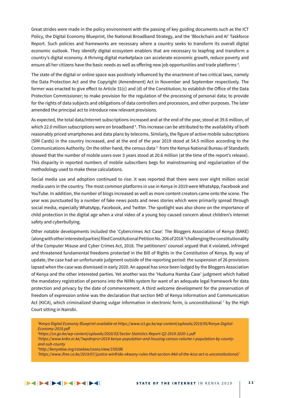Great strides were made in the policy environment with the passing of key guiding documents such as the ICT Policy, the Digital Economy Blueprint, the National Broadband Strategy, and the 'Blockchain and AI' Taskforce Report. Such policies and frameworks are necessary where a country seeks to transform its overall digital economic outlook. They identify digital ecosystem enablers that are necessary to leapfrog and transform a country's digital economy. A thriving digital marketplace can accelerate economic growth, reduce poverty and ensure all her citizens have the basic needs as well as offering new job opportunities and trade platforms  $3$ .

The state of the digital or online space was positively influenced by the enactment of two critical laws, namely the Data Protection Act and the Copyright (Amendment) Act in November and September respectively. The former was enacted to give effect to Article 31(c) and (d) of the Constitution; to establish the Office of the Data Protection Commissioner; to make provision for the regulation of the processing of personal data; to provide for the rights of data subjects and obligations of data controllers and processors, and other purposes. The later amended the principal act to introduce new relevant provisions.

As expected, the total data/Internet subscriptions increased and at the end of the year, stood at 39.6 million, of which 22.0 million subscriptions were on broadband <sup>4</sup>. This increase can be attributed to the availability of both reasonably priced smartphones and data plans by telecoms. Similarly, the figure of active mobile subscriptions (SIM Cards) in the country increased, and at the end of the year 2019 stood at 54.5 million according to the Communications Authority. On the other hand, the census data  $5$  from the Kenya National Bureau of Standards showed that the number of mobile users over 3 years stood at 20.6 million (at the time of the report's release). This disparity in reported numbers of mobile subscribers begs for mainstreaming and regularization of the methodology used to make these calculations.

Social media use and adoption continued to rise: it was reported that there were over eight million social media users in the country. The most common platforms in use in Kenya in 2019 were WhatsApp, Facebook and YouTube. In addition, the number of blogs increased as well as more content creators came onto the scene. The year was punctuated by a number of fake news posts and news stories which were primarily spread through social media, especially WhatsApp, Facebook, and Twitter. The spotlight was also shone on the importance of child protection in the digital age when a viral video of a young boy caused concern about children's internet safety and cyberbullying.

Other notable developments included the 'Cybercrimes Act Case'. The Bloggers Association of Kenya (BAKE) (along with other interested parties) filed Constitutional Petition No. 206 of 2018 <sup>6</sup>challenging the constitutionality of the Computer Misuse and Cyber Crimes Act, 2018. The petitioners' counsel argued that it violated, infringed and threatened fundamental freedoms protected in the Bill of Rights in the Constitution of Kenya. By way of update, the case had an unfortunate judgment outside of the reporting period: the suspension of 26 provisions lapsed when the case was dismissed in early 2020. An appeal has since been lodged by the Bloggers Association of Kenya and the other interested parties. Yet another was the 'Huduma Namba Case' judgment which halted the mandatory registration of persons into the NIIMs system for want of an adequate legal framework for data protection and privacy by the date of commencement. A third welcome development for the preservation of freedom of expression online was the declaration that section 84D of Kenya Information and Communication Act (KICA), which criminalized sharing vulgar information in electronic form, is unconstitutional <sup>7</sup> by the High Court sitting in Nairobi.

*<sup>3</sup> Kenya Digital Economy Blueprint available at https://www.ict.go.ke/wp-content/uploads/2019/05/Kenya-Digital-Economy-2019.pdf*

*<sup>4</sup> https://ca.go.ke/wp-content/uploads/2020/03/Sector-Statistics-Report-Q2-2019-2020-1.pdf* 

*<sup>5</sup> https://www.knbs.or.ke/?wpdmpro=2019-kenya-population-and-housing-census-volume-i-population-by-countyand-sub-county*

*<sup>6</sup> http://kenyalaw.org/caselaw/cases/view/159286*

*<sup>7</sup> https://www.ifree.co.ke/2019/07/justice-winfrida-okwany-rules-that-section-84d-of-the-kica-act-is-unconstitutional/*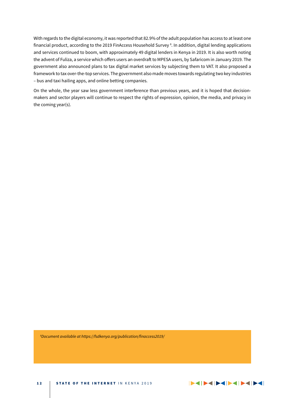With regards to the digital economy, it was reported that 82.9% of the adult population has access to at least one financial product, according to the 2019 FinAccess Household Survey 8 . In addition, digital lending applications and services continued to boom, with approximately 49 digital lenders in Kenya in 2019. It is also worth noting the advent of Fuliza, a service which offers users an overdraft to MPESA users, by Safaricom in January 2019. The government also announced plans to tax digital market services by subjecting them to VAT. It also proposed a framework to tax over-the-top services. The government also made moves towards regulating two key industries – bus and taxi hailing apps, and online betting companies.

On the whole, the year saw less government interference than previous years, and it is hoped that decisionmakers and sector players will continue to respect the rights of expression, opinion, the media, and privacy in the coming year(s).

*8 Document available at https://fsdkenya.org/publication/finaccess2019/*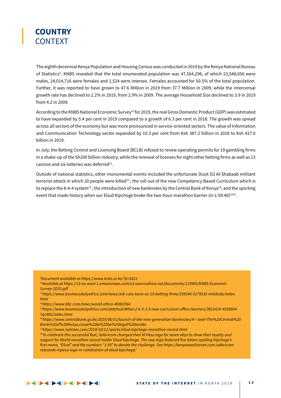

The eighth decennial Kenya Population and Housing Census was conducted in 2019 by the Kenya National Bureau of Statistics<sup>9</sup>. KNBS revealed that the total enumerated population was 47,564,296, of which 23,548,056 were males, 24,014,716 were females and 1,524 were intersex. Females accounted for 50.5% of the total population. Further, it was reported to have grown to 47.6 Million in 2019 from 37.7 Million in 2009, while the intercensal growth rate has declined to 2.2% in 2019, from 2.9% in 2009. The average Household Size declined to 3.9 in 2019 from 4.2 in 2009.

According to the KNBS National Economic Survey10 for 2019, the real Gross Domestic Product (GDP) was estimated to have expanded by 5.4 per cent in 2019 compared to a growth of 6.3 per cent in 2018. The growth was spread across all sectors of the economy but was more pronounced in service-oriented sectors. The value of Information and Communication Technology sector expanded by 10.3 per cent from Ksh 387.2 billion in 2018 to Ksh 427.0 billion in 2019.

In July, the Betting Control and Licensing Board (BCLB) refused to renew operating permits for 19 gambling firms in a shake-up of the Sh200 billion industry, while the renewal of licenses for eight other betting firms as well as 13 casinos and six lotteries was deferred $^{11}$ .

Outside of national statistics, other monumental events included the unfortunate Dusit D2 Al-Shabaab militant terrorist attack in which 20 people were killed<sup>12</sup>; the roll out of the new Competency Based Curriculum which is to replace the 8-4-4 system<sup>13</sup>; the introduction of new banknotes by the Central Bank of Kenya<sup>14</sup>; and the sporting event that made history when our Eliud Kipchoge broke the two-hour-marathon barrier (in 1:59:40)<sup>1516</sup>.

*9 Document available at https://www.knbs.or.ke/?p=5621*

*10Available at https://s3-eu-west-1.amazonaws.com/s3.sourceafrica.net/documents/119905/KNBS-Economic-Survey-2020.pdf*

*11https://www.businessdailyafrica.com/news/Job-cuts-loom-as-19-betting-firms/539546-5179532-m0sbo8z/index. html*

*12https://www.bbc.com/news/world-africa-46902564*

*13https://www.businessdailyafrica.com/datahub/What-2-6-3-3-3-new-curriculum-offers-learners/3815418-4939604- 7qclt8z/index.html*

*14https://www.centralbank.go.ke/2019/06/01/launch-of-the-new-generation-banknotes/#:~:text=The%20Central%20 Bank%20of%20Kenya,cease%20to%20be%20legal%20tender.*

*15https://www.nytimes.com/2019/10/12/sports/eliud-kipchoge-marathon-record.html*

<sup>16</sup>To celebrate this successful feat, Safaricom changed their M-Pesa logo for seven days to show their loyalty and *support for World marathon record holder Eliud Kipchoge. The new logo featured five letters spelling Kipchoge's first name, "Eliud" and the numbers "1:59" to denote the challenge. See https://kenyanwallstreet.com/safaricomrebrands-mpesa-logo-in-celebration-of-eliud-kipchoge/*

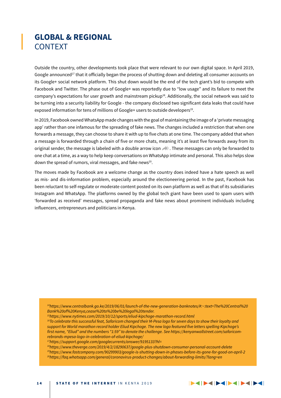### **GLOBAL & REGIONAL** CONTEXT

Outside the country, other developments took place that were relevant to our own digital space. In April 2019, Google announced<sup>17</sup> that it officially began the process of shutting down and deleting all consumer accounts on its Google+ social network platform. This shut down would be the end of the tech giant's bid to compete with Facebook and Twitter. The phase out of Google+ was reportedly due to "low usage" and its failure to meet the company's expectations for user growth and mainstream pickup $18$ . Additionally, the social network was said to be turning into a security liability for Google - the company disclosed two significant data leaks that could have exposed information for tens of millions of Google+ users to outside developers<sup>19</sup>.

In 2019, Facebook owned WhatsApp made changes with the goal of maintaining the image of a 'private messaging app' rather than one infamous for the spreading of fake news. The changes included a restriction that when one forwards a message, they can choose to share it with up to five chats at one time. The company added that when a message is forwarded through a chain of five or more chats, meaning it's at least five forwards away from its original sender, the message is labeled with a double arrow icon . These messages can only be forwarded to one chat at a time, as a way to help keep conversations on WhatsApp intimate and personal. This also helps slow down the spread of rumors, viral messages, and fake news<sup>20</sup>.

The moves made by Facebook are a welcome change as the country does indeed have a hate speech as well as mis- and dis-information problem, especially around the electioneering period. In the past, Facebook has been reluctant to self-regulate or moderate content posted on its own platform as well as that of its subsidiaries Instagram and WhatsApp. The platforms owned by the global tech giant have been used to spam users with 'forwarded as received' messages, spread propaganda and fake news about prominent individuals including influencers, entrepreneurs and politicians in Kenya.

*14https://www.centralbank.go.ke/2019/06/01/launch-of-the-new-generation-banknotes/#:~:text=The%20Central%20 Bank%20of%20Kenya,cease%20to%20be%20legal%20tender.*

*16To celebrate this successful feat, Safaricom changed their M-Pesa logo for seven days to show their loyalty and support for World marathon record holder Eliud Kipchoge. The new logo featured five letters spelling Kipchoge's first name, "Eliud" and the numbers "1:59" to denote the challenge. See https://kenyanwallstreet.com/safaricomrebrands-mpesa-logo-in-celebration-of-eliud-kipchoge/*

*18https://www.theverge.com/2019/4/2/18290637/google-plus-shutdown-consumer-personal-account-delete 19https://www.fastcompany.com/90299903/google-is-shutting-down-in-phases-before-its-gone-for-good-on-april-2 20https://faq.whatsapp.com/general/coronavirus-product-changes/about-forwarding-limits/?lang=en*

*<sup>15</sup>https://www.nytimes.com/2019/10/12/sports/eliud-kipchoge-marathon-record.html*

*<sup>17</sup>https://support.google.com/googlecurrents/answer/9195133?hl=*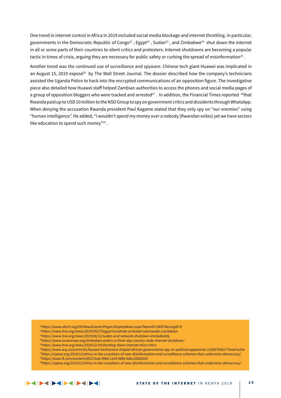One trend in internet control in Africa in 2019 included social media blockage and internet throttling. In particular, governments in the Democratic Republic of Congo<sup>21</sup>, Egypt<sup>22</sup>, Sudan<sup>23</sup>, and Zimbabwe<sup>24</sup> shut down the internet in all or some parts of their countries to silent critics and protesters. Internet shutdowns are becoming a popular tactic in times of crisis, arguing they are necessary for public safety or curbing the spread of misinformation<sup>25</sup>.

Another trend was the continued use of surveillance and spyware. Chinese tech giant Huawei was implicated in an August 15, 2019 exposé<sup>26</sup> by The Wall Street Journal. The dossier described how the company's technicians assisted the Uganda Police to hack into the encrypted communications of an opposition figure. The investigative piece also detailed how Huawei staff helped Zambian authorities to access the phones and social media pages of a group of opposition bloggers who were tracked and arrested<sup>27</sup>. In addition, the Financial Times reported <sup>28</sup>that Rwanda paid up to USD 10 million to the NSO Group to spy on government critics and dissidents through WhatsApp. When denying the accusation Rwanda president Paul Kagame stated that they only spy on "our enemies" using "human intelligence". He added, "I wouldn't spend my money over a nobody [Rwandan exiles] yet we have sectors like education to spend such money"29 .

 *21https://www.ohchr.org/EN/NewsEvents/Pages/DisplayNews.aspx?NewsID=24057&LangID=E*

 *22https://www.hrw.org/news/2019/09/27/egypt-hundreds-arrested-nationwide-crackdown*

 *23https://www.hrw.org/news/2019/06/12/sudan-end-network-shutdown-immediately*

 *24https://www.accessnow.org/zimbabwe-orders-a-three-day-country-wide-internet-shutdown/*

 *25https://www.hrw.org/news/2019/12/19/shutting-down-internet-shut-critics*

 *26https://www.wsj.com/articles/huawei-technicians-helped-african-governments-spy-on-political-opponents-11565793017?mod=e2tw*

 *27https://cipesa.org/2019/12/africa-in-the-crosshairs-of-new-disinformation-and-surveillance-schemes-that-undermine-democracy/ 26https://www.ft.com/content/d9127eae-f99d-11e9-98fd-4d6c20050229*

 *29https://cipesa.org/2019/12/africa-in-the-crosshairs-of-new-disinformation-and-surveillance-schemes-that-undermine-democracy/*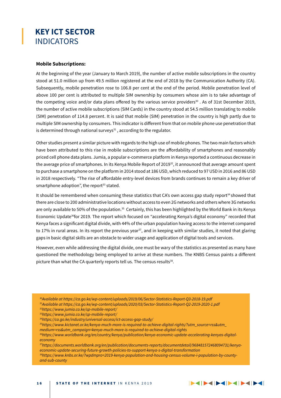### **KEY ICT SECTOR** INDICATORS

### **Mobile Subscriptions:**

At the beginning of the year (January to March 2019), the number of active mobile subscriptions in the country stood at 51.0 million up from 49.5 million registered at the end of 2018 by the Communication Authority (CA). Subsequently, mobile penetration rose to 106.8 per cent at the end of the period. Mobile penetration level of above 100 per cent is attributed to multiple SIM ownership by consumers whose aim is to take advantage of the competing voice and/or data plans offered by the various service providers $^{30}$ . As of 31st December 2019, the number of active mobile subscriptions (SIM Cards) in the country stood at 54.5 million translating to mobile (SIM) penetration of 114.8 percent. It is said that mobile (SIM) penetration in the country is high partly due to multiple SIM ownership by consumers. This indicator is different from that on mobile phone use penetration that is determined through national surveys $31$ , according to the regulator.

Other studies present a similar picture with regards to the high use of mobile phones. The two main factors which have been attributed to this rise in mobile subscriptions are the affordability of smartphones and reasonably priced cell phone data plans. Jumia, a popular e-commerce platform in Kenya reported a continuous decrease in the average price of smartphones. In its Kenya Mobile Report of 2019<sup>32</sup>, it announced that average amount spent to purchase a smartphone on the platform in 2014 stood at 186 USD, which reduced to 97 USD in 2016 and 86 USD in 2018 respectively. "The rise of affordable entry-level devices from brands continues to remain a key driver of smartphone adoption", the report<sup>33</sup> stated.

It should be remembered when consuming these statistics that CA's own access gap study report<sup>34</sup> showed that there are close to 200 administrative locations without access to even 2G networks and others where 3G networks are only available to 50% of the population.<sup>35</sup> Certainly, this has been highlighted by the World Bank in its Kenya Economic Update<sup>36</sup>for 2019. The report which focused on "accelerating Kenya's digital economy" recorded that Kenya faces a significant digital divide, with 44% of the urban population having access to the internet compared to 17% in rural areas. In its report the previous year<sup>37</sup>, and in keeping with similar studies, it noted that glaring gaps in basic digital skills are an obstacle to wider usage and application of digital tools and services.

However, even while addressing the digital divide, one must be wary of the statistics as presented as many have questioned the methodology being employed to arrive at these numbers. The KNBS Census paints a different picture than what the CA quarterly reports tell us. The census results<sup>38</sup>.

- *30Available at https://ca.go.ke/wp-content/uploads/2019/06/Sector-Statistics-Report-Q3-2018-19.pdf*
- *31Available at https://ca.go.ke/wp-content/uploads/2020/03/Sector-Statistics-Report-Q2-2019-2020-1.pdf*
- *32https://www.jumia.co.ke/sp-mobile-report/*
- *33https://www.jumia.co.ke/sp-mobile-report/*

*and-sub-county*

- *34https://ca.go.ke/industry/universal-access/ict-access-gap-study/*
- *35https://www.kictanet.or.ke/kenya-much-more-is-required-to-achieve-digital-rights/?utm\_source=rss&utm\_*
- *medium=rss&utm\_campaign=kenya-much-more-is-required-to-achieve-digital-rights*
- *36https://www.worldbank.org/en/country/kenya/publication/kenya-economic-update-accelerating-kenyas-digitaleconomy*

*37https://documents.worldbank.org/en/publication/documents-reports/documentdetail/968481572468094731/kenyaeconomic-update-securing-future-growth-policies-to-support-kenya-s-digital-transformation 38https://www.knbs.or.ke/?wpdmpro=2019-kenya-population-and-housing-census-volume-i-population-by-county-*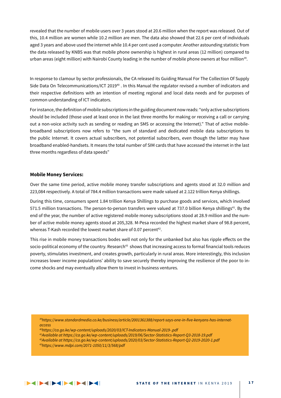revealed that the number of mobile users over 3 years stood at 20.6 million when the report was released. Out of this, 10.4 million are women while 10.2 million are men. The data also showed that 22.6 per cent of individuals aged 3 years and above used the internet while 10.4 per cent used a computer. Another astounding statistic from the data released by KNBS was that mobile phone ownership is highest in rural areas (12 million) compared to urban areas (eight million) with Nairobi County leading in the number of mobile phone owners at four million<sup>39</sup>.

In response to clamour by sector professionals, the CA released its Guiding Manual For The Collection Of Supply Side Data On Telecommunications/ICT 2019<sup>40</sup>. In this Manual the regulator revised a number of indicators and their respective definitions with an intention of meeting regional and local data needs and for purposes of common understanding of ICT indicators.

For instance, the definition of mobile subscriptions in the guiding document now reads: "only active subscriptions should be included (those used at least once in the last three months for making or receiving a call or carrying out a non-voice activity such as sending or reading an SMS or accessing the Internet)." That of active mobilebroadband subscriptions now refers to "the sum of standard and dedicated mobile data subscriptions to the public Internet. It covers actual subscribers, not potential subscribers, even though the latter may have broadband enabled-handsets. It means the total number of SIM cards that have accessed the internet in the last three months regardless of data speeds"

#### **Mobile Money Services:**

Over the same time period, active mobile money transfer subscriptions and agents stood at 32.0 million and 223,084 respectively. A total of 784.4 million transactions were made valued at 2.122 trillion Kenya shillings.

During this time, consumers spent 1.84 trillion Kenya Shillings to purchase goods and services, which involved 571.5 million transactions. The person-to-person transfers were valued at 737.0 billion Kenya shillings<sup>41</sup>. By the end of the year, the number of active registered mobile money subscriptions stood at 28.9 million and the number of active mobile money agents stood at 205,328. M-Pesa recorded the highest market share of 98.8 percent, whereas T-Kash recorded the lowest market share of 0.07 percent<sup>42</sup>.

This rise in mobile money transactions bodes well not only for the unbanked but also has ripple effects on the socio-political economy of the country. Research<sup>43</sup> shows that increasing access to formal financial tools reduces poverty, stimulates investment, and creates growth, particularly in rural areas. More interestingly, this inclusion increases lower income populations' ability to save securely thereby improving the resilience of the poor to income shocks and may eventually allow them to invest in business ventures.

*39https://www.standardmedia.co.ke/business/article/2001361388/report-says-one-in-five-kenyans-has-internetaccess*

- *40https://ca.go.ke/wp-content/uploads/2020/03/ICT-Indicators-Manual-2019-.pdf*
- *41Available at https://ca.go.ke/wp-content/uploads/2019/06/Sector-Statistics-Report-Q3-2018-19.pdf*
- *42Available at https://ca.go.ke/wp-content/uploads/2020/03/Sector-Statistics-Report-Q2-2019-2020-1.pdf*
- *43https://www.mdpi.com/2071-1050/11/3/568/pdf*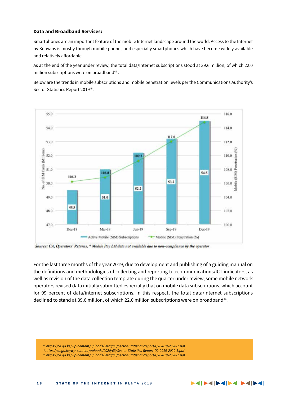### **Data and Broadband Services:**

Smartphones are an important feature of the mobile Internet landscape around the world. Access to the Internet by Kenyans is mostly through mobile phones and especially smartphones which have become widely available and relatively affordable.

As at the end of the year under review, the total data/Internet subscriptions stood at 39.6 million, of which 22.0 million subscriptions were on broadband<sup>44</sup>.

Below are the trends in mobile subscriptions and mobile penetration levels per the Communications Authority's Sector Statistics Report 2019<sup>45</sup>.



Source: CA, Operators' Returns, \* Mobile Pay Ltd data not available due to non-compliance by the operator

For the last three months of the year 2019, due to development and publishing of a guiding manual on the definitions and methodologies of collecting and reporting telecommunications/ICT indicators, as well as revision of the data collection template during the quarter under review, some mobile network operators revised data initially submitted especially that on mobile data subscriptions, which account for 99 percent of data/internet subscriptions. In this respect, the total data/internet subscriptions declined to stand at 39.6 million, of which 22.0 million subscriptions were on broadband<sup>46</sup>.

*44 https://ca.go.ke/wp-content/uploads/2020/03/Sector-Statistics-Report-Q2-2019-2020-1.pdf 45https://ca.go.ke/wp-content/uploads/2020/03/Sector-Statistics-Report-Q2-2019-2020-1.pdf*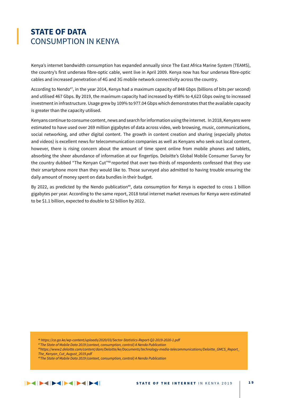### **STATE OF DATA** CONSUMPTION IN KENYA

Kenya's internet bandwidth consumption has expanded annually since The East Africa Marine System (TEAMS), the country's first undersea fibre-optic cable, went live in April 2009. Kenya now has four undersea fibre-optic cables and increased penetration of 4G and 3G mobile network connectivity across the country.

According to Nendo47, in the year 2014, Kenya had a maximum capacity of 848 Gbps (billions of bits per second) and utilised 467 Gbps. By 2019, the maximum capacity had increased by 458% to 4,623 Gbps owing to increased investment in infrastructure. Usage grew by 109% to 977.04 Gbps which demonstrates that the available capacity is greater than the capacity utilised.

Kenyans continue to consume content, news and search for information using the internet. In 2018, Kenyans were estimated to have used over 269 million gigabytes of data across video, web browsing, music, communications, social networking, and other digital content. The growth in content creation and sharing (especially photos and videos) is excellent news for telecommunication companies as well as Kenyans who seek out local content, however, there is rising concern about the amount of time spent online from mobile phones and tablets, absorbing the sheer abundance of information at our fingertips. Deloitte's Global Mobile Consumer Survey for the country dubbed "The Kenyan Cut"<sup>48</sup> reported that over two-thirds of respondents confessed that they use their smartphone more than they would like to. Those surveyed also admitted to having trouble ensuring the daily amount of money spent on data bundles in their budget.

By 2022, as predicted by the Nendo publication<sup>49</sup>, data consumption for Kenya is expected to cross 1 billion gigabytes per year. According to the same report, 2018 total internet market revenues for Kenya were estimated to be \$1.1 billion, expected to double to \$2 billion by 2022.

*<sup>46</sup> https://ca.go.ke/wp-content/uploads/2020/03/Sector-Statistics-Report-Q2-2019-2020-1.pdf*

*<sup>47</sup>The State of Mobile Data 2019 (context, consumption, control) A Nendo Publication*

*<sup>48</sup>https://www2.deloitte.com/content/dam/Deloitte/ke/Documents/technology-media-telecommunications/Deloitte\_GMCS\_Report\_ The\_Kenyan\_Cut\_August\_2019.pdf*

*<sup>49</sup>The State of Mobile Data 2019 (context, consumption, control) A Nendo Publication*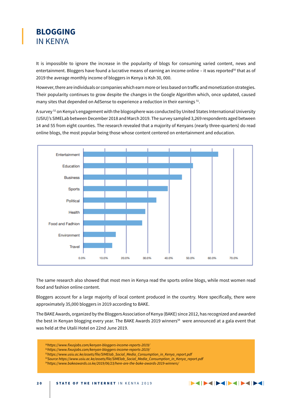### **BLOGGING**  IN KENYA

It is impossible to ignore the increase in the popularity of blogs for consuming varied content, news and entertainment. Bloggers have found a lucrative means of earning an income online – it was reported<sup>50</sup> that as of 2019 the average monthly income of bloggers in Kenya is Ksh 30, 000.

However, there are individuals or companies which earn more or less based on traffic and monetization strategies. Their popularity continues to grow despite the changes in the Google Algorithm which, once updated, caused many sites that depended on AdSense to experience a reduction in their earnings <sup>51</sup>.

A survey 52 on Kenya's engagement with the blogosphere was conducted by United States International University (USIU)'s SIMELab between December 2018 and March 2019. The survey sampled 3,269 respondents aged between 14 and 55 from eight counties. The research revealed that a majority of Kenyans (nearly three-quarters) do read online blogs, the most popular being those whose content centered on entertainment and education.



The same research also showed that most men in Kenya read the sports online blogs, while most women read food and fashion online content.

Bloggers account for a large majority of local content produced in the country. More specifically, there were approximately 35,000 bloggers in 2019 according to BAKE.

The BAKE Awards, organized by the Bloggers Association of Kenya (BAKE) since 2012, has recognized and awarded the best in Kenyan blogging every year. The BAKE Awards 2019 winners<sup>54</sup> were announced at a gala event that was held at the Utalii Hotel on 22nd June 2019.

- *50https://www.fixusjobs.com/kenyan-bloggers-income-reports-2019/*
- *51https://www.fixusjobs.com/kenyan-bloggers-income-reports-2019/*
- *52https://www.usiu.ac.ke/assets/file/SIMElab\_Social\_Media\_Consumption\_in\_Kenya\_report.pdf*
- *53Source https://www.usiu.ac.ke/assets/file/SIMElab\_Social\_Media\_Consumption\_in\_Kenya\_report.pdf*

*<sup>54</sup>https://www.bakeawards.co.ke/2019/06/23/here-are-the-bake-awards-2019-winners/*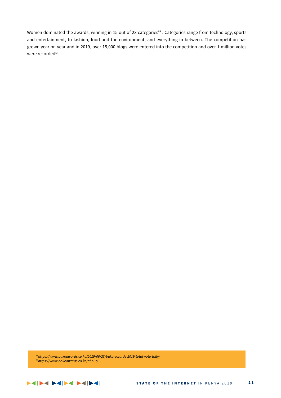Women dominated the awards, winning in 15 out of 23 categories<sup>55</sup>. Categories range from technology, sports and entertainment, to fashion, food and the environment, and everything in between. The competition has grown year on year and in 2019, over 15,000 blogs were entered into the competition and over 1 million votes were recorded<sup>56</sup>.

*55https://www.bakeawards.co.ke/2019/06/23/bake-awards-2019-total-vote-tally/ 56https://www.bakeawards.co.ke/about/*

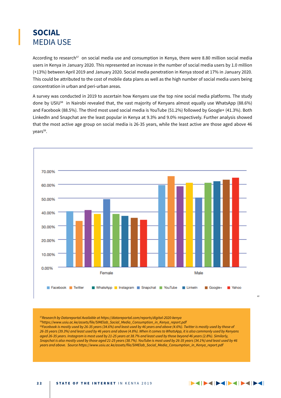### **SOCIAL** MEDIA USE

According to research<sup>57</sup> on social media use and consumption in Kenya, there were 8.80 million social media users in Kenya in January 2020. This represented an increase in the number of social media users by 1.0 million (+13%) between April 2019 and January 2020. Social media penetration in Kenya stood at 17% in January 2020. This could be attributed to the cost of mobile data plans as well as the high number of social media users being concentration in urban and peri-urban areas.

A survey was conducted in 2019 to ascertain how Kenyans use the top nine social media platforms. The study done by USIU58 in Nairobi revealed that, the vast majority of Kenyans almost equally use WhatsApp (88.6%) and Facebook (88.5%). The third most used social media is YouTube (51.2%) followed by Google+ (41.3%). Both LinkedIn and Snapchat are the least popular in Kenya at 9.3% and 9.0% respectively. Further analysis showed that the most active age group on social media is 26-35 years, while the least active are those aged above 46 years<sup>59</sup>.



*60*

*57Research by Datareportal Available at https://datareportal.com/reports/digital-2020-kenya 58https://www.usiu.ac.ke/assets/file/SIMElab\_Social\_Media\_Consumption\_in\_Kenya\_report.pdf 59Facebook is mostly used by 26-35 years (34.6%) and least used by 46 years and above (4.6%). Twitter is mostly used by those of 26-35 years (39.3%) and least used by 46 years and above (4.8%). When it comes to WhatsApp, it is also commonly used by Kenyans aged 26-35 years. Instagram is most used by 21-25 years at 38.7% and least used by those beyond 46 years (2.8%). Similarly, Snapchat is also mostly used by those aged 21-25 years (38.7%). YouTube is most used by 26-35 years (34.1%) and least used by 46 years and above. Source https://www.usiu.ac.ke/assets/file/SIMElab\_Social\_Media\_Consumption\_in\_Kenya\_report.pdf*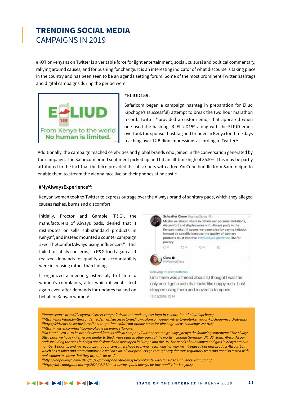### **TRENDING SOCIAL MEDIA** CAMPAIGNS IN 2019

#KOT or Kenyans on Twitter is a veritable force for light entertainment, social, cultural and political commentary, rallying around causes, and for pushing for change. It is an interesting indicator of what discourse is taking place in the country and has been seen to be an agenda setting forum. Some of the most prominent Twitter hashtags and digital campaigns during the period were:



#### **#ELIUD159:**

Safaricom began a campaign hashtag in preparation for Eliud Kipchoge's (successful) attempt to break the two hour marathon record. Twitter <sup>61</sup>provided a custom emoji that appeared when one used the hashtag. #ELIUD159 along with the ELIUD emoji overtook the sponsor hashtag and trended in Kenya for three days reaching over 12 Billion impressions according to Twitter<sup>62</sup>.

Additionally, the campaign reached celebrities and global brands who joined in the conversation generated by the campaign. The Safaricom brand sentiment picked up and hit an all-time high of 85.5%. This may be partly attributed to the fact that the telco provided its subscribers with a free YouTube bundle from 8am to 4pm to enable them to stream the Vienna race live on their phones at no cost <sup>63</sup>.

#### **#MyAlwaysExperience64:**

Kenyan women took to Twitter to express outrage over the Always brand of sanitary pads, which they alleged causes rashes, burns and discomfort.

Initially, Proctor and Gamble (P&G), the manufacturers of Always pads, denied that it distributes or sells sub-standard products in Kenya65, and instead mounted a counter campaign #FeelTheComfortAlways using influencers<sup>66</sup>. This failed to satisfy concerns, so P&G tried again as it realized demands for quality and accountability were increasing rather than fading.

It organized a meeting, ostensibly to listen to women's complaints, after which it went silent again even after demands for updates by and on behalf of Kenyan women<sup>67</sup>.



Until there was a thread about it. I thought I was the only one. I get a rash that looks like nappy rush. I just stopped using them and moved to tampons. 15/02/2019, 12:14

*61Image source https://kenyanwallstreet.com/safaricom-rebrands-mpesa-logo-in-celebration-of-eliud-kipchoge/ 62https://marketing.twitter.com/emea/en\_gb/success-stories/how-safaricom-used-twitter-to-unite-kenya-for-kipchoge-record-attempt 63https://citizentv.co.ke/business/how-to-get-free-safaricom-bundle-smss-for-kipchoge-ineos-challenge-285764/ 64https://twitter.com/hashtag/myalwaysexperience?lang=en*

*65On March 12th 2019 he brand tweeted from its official company Twitter account @Always\_Kenya the following statement: "The Always Ultra pads we have in Kenya are similar to the Always pads in other parts of the world including Germany, UK, US, South Africa. All our pads including the ones in Kenya are designed and developed in Europe and the US. The needs of our women and girls in Kenya are our number 1 priority, and we recognize that our consumers have evolving needs which is why we introduced our new product Always Soft which has a softer and more comfortable feel on skin. All our products go through very rigorous regulatory tests and are also tested with real women to ensure that they are safe for use."*

*66https://hapakenya.com/2019/03/12/pg-responds-to-always-complaints-with-tone-deaf-influencer-campaign/ 67https://africanarguments.org/2020/03/31/must-always-pads-always-be-low-quality-for-kenyans/*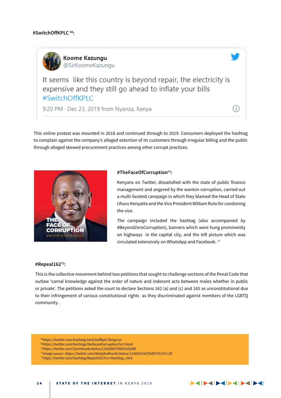

It seems like this country is beyond repair, the electricity is expensive and they still go ahead to inflate your bills #SwitchOffKPLC

9:20 PM · Dec 23, 2019 from Nyanza, Kenya

This online protest was mounted in 2018 and continued through to 2019. Consumers deployed the hashtag to complain against the company's alleged extortion of its customers through irregular billing and the public through alleged skewed procurement practices among other corrupt practices.



### **#TheFaceOfCorruption**<sup>69</sup>**:**

Kenyans on Twitter, dissatisfied with the state of public finance management and angered by the wanton corruption, carried out a multi-faceted campaign in which they blamed the Head of State Uhuru Kenyatta and the Vice President William Ruto for condoning the vice.

The campaign included the hashtag (also accompanied by #BeyondZeroCorruption), banners which were hung prominently on highways in the capital city, and the left picture which was circulated extensively on WhatsApp and Facebook.<sup>71</sup>

#### **#Repeal16272:**

This is the collective movement behind two petitions that sought to challenge sections of the Penal Code that outlaw 'carnal knowledge against the order of nature and indecent acts between males whether in public or private'. The petitions asked the court to declare Sections 162 (a) and (c) and 165 as unconstitutional due to their infringement of various constitutional rights as they discriminated against members of the LGBTQ community .

*68https://twitter.com/hashtag/switchoffkplc?lang=en 69https://twitter.com/hashtag/thefaceofcorruption?src=hash 70https://twitter.com/Syombuak/status/1104280379601633280 71Image source https://twitter.com/WanjikuRevolt/status/1104810143764672513?s=20 72https://twitter.com/hashtag/Repeal162?src=hashtag\_click*

G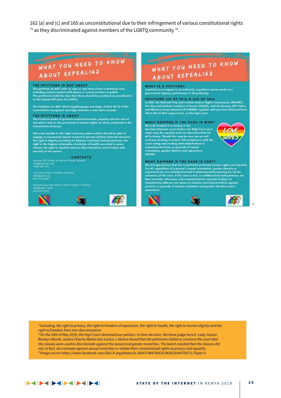162 (a) and (c) and 165 as unconstitutional due to their infringement of various constitutional rights  $73$  as they discriminated against members of the LGBTQ community  $74$ .

## WHAT YOU NEED TO KNOW ABOUT REPEALIS2

#### THE PETITIONS IS NOT ABOUT

The politician do NOT refer to rape or any form of non-communication.<br>Including second conduct with minor or sexual conduct in public.<br>The politicians hold the sizes that these sheald by panished as provided for in The Sexual Offenses Act (2004).

The Fetitions are NOT about legalizing gay merriage. Article 45 (2) of the<br>Constitution recognizes merriage between a max and a wempe.

THE PETITIONS IS ABOUT<br>The Fallfloor seeks to premote constitutionalism, equality and the rule of<br>Izer and to one for the protection of human rights for all an enchritect in the **Constitution of Kenya** 

This case species to the right to primary where adults should be able to engage in conserned sexual conduct in private without extend intrusion; the right to dignity providing for bancose traditional and personalized; the ditions the right to aquality and non-discrimination; and freedom and security of the person.

CONTACTS<br>Nymus, NH volley & Weden Kersis Network info@inystwee.org<br>0736.040.111

.<br>Coy and Lessian Continue of Kerya 1 menggalakan<br>Napi 242 nobo

is they und task on the new Argels Country. **AND DECK** 



## WHAT YOU NEED TO KNOW ABOUT REPEALISZ

#### **WHAT IS A PETITION?**

A polition in a respect to an estherity. A politica can be made to a .<br>A polition in a respect to an estherist, A politicary.

PETITIONS 150 OF 2016 & 234 OF 2016<br>is 2016, the National Ony and Leakine Human Eights Commission (MGUHC),<br>the Osy and Leakine Condition of Kergu (GALCK), and the Nyonsa, Kits Valley and Western Kerge Naturals (NYAGWEK) logather with partners filed patitions<br>190 % 234 of 2018 respectively, at the high court.

#### WHAT HAPPENS IF THE CASE IS WON?

We look forward in a vistory in the description of the description<br>linear series before the High Court on a major step for equality and one discrimination for<br>all in Kenya. Therefore series for some we we will sonliner working to ensure full compliment with the<br>sourt ruling and working with stakeholders to<br>aspend protections as grounds of sessed crientation, gender identity and expression (SOGIEL

#### WHAT HAPPENS IF THE CASE IS LOST?

WHAT HATE IN THE CASE IS LOST homeo rights and equality<br>the strongly balloon that the countil this are constant to the strongly<br>dense of a person's sense orientation, pender identity or<br>represented as a person's sense in l expression



*73Including, the right to privacy, the right to freedom of expression, the right to health, the right to human dignity and the right to freedom from non-discrimination.* 

*74On the 24th of May 2019, the High Court dismissed our petition. In their decision, the three judge bench -Lady Justice Roselyn Aburili, Justice Chacha Mwita and Justice J. Mativo-found that the petitioners failed to convince the court that the clauses were used to discriminate against the sexual and gender minorities. The bench insisted that the clauses did not, in fact, discriminate against sexual minorities or violate their constitutional rights to privacy and equality. 75Image source https://www.facebook.com/GALCK.org/photos/a.356437484700635/863023340708711/?type=3*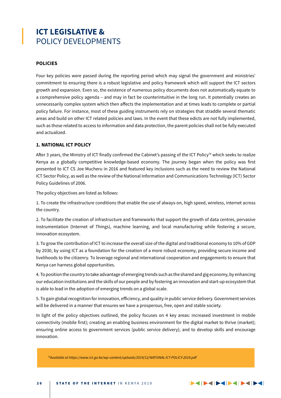### **ICT LEGISLATIVE &**  POLICY DEVELOPMENTS

### **POLICIES**

Four key policies were passed during the reporting period which may signal the government and ministries' commitment to ensuring there is a robust legislative and policy framework which will support the ICT sectors growth and expansion. Even so, the existence of numerous policy documents does not automatically equate to a comprehensive policy agenda – and may in fact be counterintuitive in the long run. It potentially creates an unnecessarily complex system which then affects the implementation and at times leads to complete or partial policy failure. For instance, most of these guiding instruments rely on strategies that straddle several thematic areas and build on other ICT related policies and laws. In the event that these edicts are not fully implemented, such as those related to access to information and data protection, the parent policies shall not be fully executed and actualized.

### **1. NATIONAL ICT POLICY**

After 3 years, the Ministry of ICT finally confirmed the Cabinet's passing of the ICT Policy<sup>76</sup> which seeks to realize Kenya as a globally competitive knowledge-based economy. The journey began when the policy was first presented to ICT CS Joe Mucheru in 2016 and featured key inclusions such as the need to review the National ICT Sector Policy, as well as the review of the National Information and Communications Technology (ICT) Sector Policy Guidelines of 2006.

The policy objectives are listed as follows:

1. To create the infrastructure conditions that enable the use of always-on, high speed, wireless, internet across the country.

2. To facilitate the creation of infrastructure and frameworks that support the growth of data centres, pervasive instrumentation (Internet of Things), machine learning, and local manufacturing while fostering a secure, innovation ecosystem.

3. To grow the contribution of ICT to increase the overall size of the digital and traditional economy to 10% of GDP by 2030, by using ICT as a foundation for the creation of a more robust economy, providing secure income and livelihoods to the citizenry. To leverage regional and international cooperation and engagements to ensure that Kenya can harness global opportunities.

4. To position the country to take advantage of emerging trends such as the shared and gig economy, by enhancing our education institutions and the skills of our people and by fostering an innovation and start-up ecosystem that is able to lead in the adoption of emerging trends on a global scale.

5. To gain global recognition for innovation, efficiency, and quality in public service delivery. Government services will be delivered in a manner that ensures we have a prosperous, free, open and stable society.

In light of the policy objectives outlined, the policy focuses on 4 key areas: increased investment in mobile connectivity (mobile first); creating an enabling business environment for the digital market to thrive (market); ensuring online access to government services (public service delivery); and to develop skills and encourage innovation.

*76Available at https://www.ict.go.ke/wp-content/uploads/2019/12/NATIONAL-ICT-POLICY-2019.pdf*

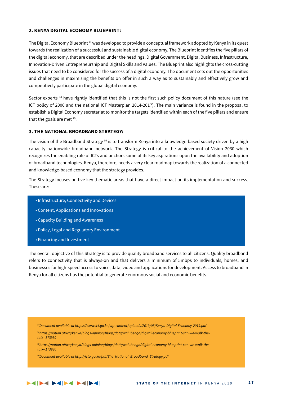### **2. KENYA DIGITAL ECONOMY BLUEPRINT:**

The Digital Economy Blueprint  $\eta$  was developed to provide a conceptual framework adopted by Kenya in its quest towards the realization of a successful and sustainable digital economy. The Blueprint identifies the five pillars of the digital economy, that are described under the headings, Digital Government, Digital Business, Infrastructure, Innovation-Driven Entrepreneurship and Digital Skills and Values. The Blueprint also highlights the cross-cutting issues that need to be considered for the success of a digital economy. The document sets out the opportunities and challenges in maximizing the benefits on offer in such a way as to sustainably and effectively grow and competitively participate in the global digital economy.

Sector experts  $78$  have rightly identified that this is not the first such policy document of this nature (see the ICT policy of 2006 and the national ICT Masterplan 2014-2017). The main variance is found in the proposal to establish a Digital Economy secretariat to monitor the targets identified within each of the five pillars and ensure that the goals are met  $79$ .

### **3. THE NATIONAL BROADBAND STRATEGY:**

The vision of the Broadband Strategy <sup>80</sup> is to transform Kenya into a knowledge-based society driven by a high capacity nationwide broadband network. The Strategy is critical to the achievement of Vision 2030 which recognizes the enabling role of ICTs and anchors some of its key aspirations upon the availability and adoption of broadband technologies. Kenya, therefore, needs a very clear roadmap towards the realization of a connected and knowledge-based economy that the strategy provides.

The Strategy focuses on five key thematic areas that have a direct impact on its implementation and success. These are:

- Infrastructure, Connectivity and Devices
- Content, Applications and Innovations
- Capacity Building and Awareness
- Policy, Legal and Regulatory Environment
- Financing and Investment.

The overall objective of this Strategy is to provide quality broadband services to all citizens. Quality broadband refers to connectivity that is always-on and that delivers a minimum of 5mbps to individuals, homes, and businesses for high-speed access to voice, data, video and applications for development. Access to broadband in Kenya for all citizens has the potential to generate enormous social and economic benefits.

*77Document available at https://www.ict.go.ke/wp-content/uploads/2019/05/Kenya-Digital-Economy-2019.pdf 78https://nation.africa/kenya/blogs-opinion/blogs/dot9/walubengo/digital-economy-blueprint-can-we-walk-thetalk--173930*

*79https://nation.africa/kenya/blogs-opinion/blogs/dot9/walubengo/digital-economy-blueprint-can-we-walk-thetalk--173930*

*80Document available at http://icta.go.ke/pdf/The\_National\_Broadband\_Strategy.pdf*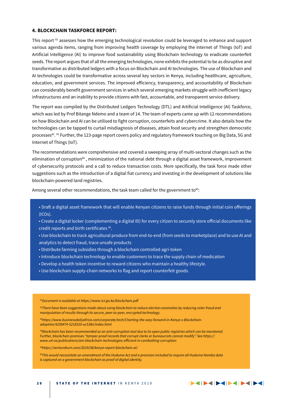#### **4. BLOCKCHAIN TASKFORCE REPORT:**

This report  $81$  assesses how the emerging technological revolution could be leveraged to enhance and support various agenda items, ranging from improving health coverage by employing the Internet of Things (IoT) and Artificial Intelligence (AI) to improve food sustainability using Blockchain technology to eradicate counterfeit seeds. The report argues that of all the emerging technologies, none exhibits the potential to be as disruptive and transformative as distributed ledgers with a focus on Blockchain and AI technologies. The use of Blockchain and AI technologies could be transformative across several key sectors in Kenya, including healthcare, agriculture, education, and government services. The improved efficiency, transparency, and accountability of Blockchain can considerably benefit government services in which several emerging markets struggle with inefficient legacy infrastructures and an inability to provide citizens with fast, accountable, and transparent service delivery.

The report was compiled by the Distributed Ledgers Technology (DTL) and Artificial Intelligence (AI) Taskforce, which was led by Prof Bitange Ndemo and a team of 14. The team of experts came up with 12 recommendations on how Blockchain and AI can be utilised to fight corruption, counterfeits and cybercrime. It also details how the technologies can be tapped to curtail misdiagnosis of diseases, attain food security and strengthen democratic processes<sup>82</sup>. 83 Further, the 123-page report covers policy and regulatory framework touching on Big Data, 5G and Internet of Things (IoT).

The recommendations were comprehensive and covered a sweeping array of multi-sectoral changes such as the elimination of corruption<sup>84</sup>, minimization of the national debt through a digital asset framework, improvement of cybersecurity protocols and a call to reduce transaction costs. More specifically, the task force made other suggestions such as the introduction of a digital fiat currency and investing in the development of solutions like blockchain-powered land registries.

Among several other recommendations, the task team called for the government to<sup>85</sup>:

- Draft a digital asset framework that will enable Kenyan citizens to raise funds through initial coin offerings (ICOs).
- Create a digital locker (complementing a digital ID) for every citizen to securely store official documents like credit reports and birth certificates 86.
- Use blockchain to track agricultural produce from end-to-end (from seeds to marketplace) and to use AI and analytics to detect fraud, trace unsafe products
- Distribute farming subsidies through a blockchain controlled agri-token
- Introduce blockchain technology to enable customers to trace the supply chain of medication
- Develop a health token incentive to reward citizens who maintain a healthy lifestyle.
- Use blockchain supply-chain networks to flag and report counterfeit goods.

*81Document is available at https://www.ict.go.ke/blockchain.pdf*

*82There have been suggestions made about using blockchain to reduce election anomalies by reducing voter fraud and manipulation of results through its secure, peer-to-peer, encrypted technology.* 

*83https://www.businessdailyafrica.com/corporate/tech/Charting-the-way-forward-in-Kenya-s-Blockchainadoption/4258474-5218320-uc538n/index.html*

*84Blockchain has been recommended as an anti-corruption tool due to its open public registries which can be monitored. Further, blockchain promises "tamper-proof records that corrupt clerks or bureaucrats cannot modify". See https:// www.u4.no/publications/are-blockchain-technologies-efficient-in-combatting-corruption*

*85https://ventureburn.com/2019/08/kenya-report-blockchain-ai/*

*86This would necessitate an amendment of the Huduma Act and a provision included to require all Huduma Namba data is captured on a government blockchain as proof of digital identity.*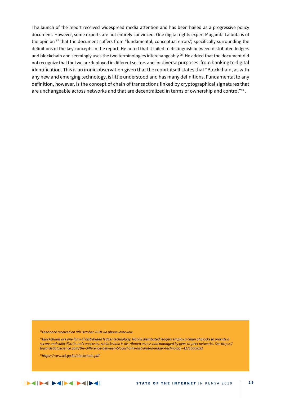The launch of the report received widespread media attention and has been hailed as a progressive policy document. However, some experts are not entirely convinced. One digital rights expert Mugambi Laibuta is of the opinion 87 that the document suffers from "fundamental, conceptual errors", specifically surrounding the definitions of the key concepts in the report. He noted that it failed to distinguish between distributed ledgers and blockchain and seemingly uses the two terminologies interchangeably 88. He added that the document did not recognize that the two are deployed in different sectors and for diverse purposes, from banking to digital identification. This is an ironic observation given that the report itself states that "Blockchain, as with any new and emerging technology, is little understood and has many definitions. Fundamental to any definition, however, is the concept of chain of transactions linked by cryptographical signatures that are unchangeable across networks and that are decentralized in terms of ownership and control"89.

*87Feedback received on 8th October 2020 via phone interview.* 

*88Blockchains are one form of distributed ledger technology. Not all distributed ledgers employ a chain of blocks to provide a secure and valid distributed consensus. A blockchain is distributed across and managed by peer-to-peer networks. See https:// towardsdatascience.com/the-difference-between-blockchains-distributed-ledger-technology-42715a0fa92*

*89https://www.ict.go.ke/blockchain.pdf*

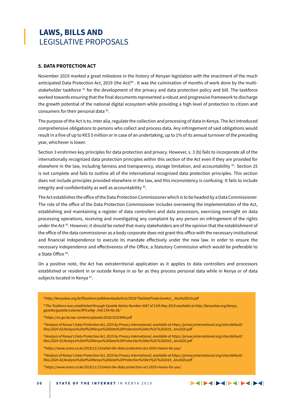### **LAWS, BILLS AND**  LEGISLATIVE PROPOSALS

### **5. DATA PROTECTION ACT**

November 2019 marked a great milestone in the history of Kenyan legislation with the enactment of the much anticipated Data Protection Act, 2019 (the Act)<sup>90</sup>. It was the culmination of months of work done by the multistakeholder taskforce <sup>91</sup> for the development of the privacy and data protection policy and bill. The taskforce worked towards ensuring that the final documents represented a robust and progressive framework to discharge the growth potential of the national digital ecosystem while providing a high level of protection to citizen and consumers for their personal data <sup>92</sup>.

The purpose of the Act is to, inter alia, regulate the collection and processing of data in Kenya. The Act introduced comprehensive obligations to persons who collect and process data. Any infringement of said obligations would result in a fine of up to KES 5 million or in case of an undertaking, up to 1% of its annual turnover of the preceding year, whichever is lower.

Section 3 enshrines key principles for data protection and privacy. However, s. 3 (b) fails to incorporate all of the internationally recognized data protection principles within this section of the Act even if they are provided for elsewhere in the law, including fairness and transparency, storage limitation, and accountability <sup>93</sup>. Section 25 is not complete and fails to outline all of the international recognized data protection principles. This section does not include principles provided elsewhere in the law, and this inconsistency is confusing. It fails to include integrity and confidentiality as well as accountability  $94$ .

The Act establishes the office of the Data Protection Commissioner which is to be headed by a Data Commissioner. The role of the office of the Data Protection Commissioner includes overseeing the implementation of the Act, establishing and maintaining a register of data controllers and data processors, exercising oversight on data processing operations, receiving and investigating any complaint by any person on infringement of the rights under the Act <sup>95</sup>. However, it should be noted that many stakeholders are of the opinion that the establishment of the office of the data commissioner as a body corporate does not grant this office with the necessary institutional and financial independence to execute its mandate effectively under the new law. In order to ensure the necessary independence and effectiveness of the Office, a Statutory Commission which would be preferable to a State Office <sup>96</sup>.

On a positive note, the Act has extraterritorial application as it applies to data controllers and processors established or resident in or outside Kenya in so far as they process personal data while in Kenya or of data subjects located in Kenya<sup>97</sup>.

- *90http://kenyalaw.org/kl/fileadmin/pdfdownloads/Acts/2019/TheDataProtectionAct\_\_No24of2019.pdf*
- *91The Taskforce was established through Gazette Notice Number 4367 of 11th May 2018 available at http://kenyalaw.org/kenya\_ gazette/gazette/volume/MTcwNg--/Vol.CXX-No.56/*
- *92https://ca.go.ke/wp-content/uploads/2018/10/GSMA.pdf*
- *93Analysis of Kenya's Data Protection Act, 2019 by Privacy International, available at https://privacyinternational.org/sites/default/ files/2020-02/Analysis%20of%20Kenya%20Data%20Protection%20Act%2C%202019\_Jan2020.pdf*
- *94Analysis of Kenya's Data Protection Act, 2019 by Privacy International, available at https://privacyinternational.org/sites/default/ files/2020-02/Analysis%20of%20Kenya%20Data%20Protection%20Act%2C%202019\_Jan2020.pdf*
- *95https://www.oraro.co.ke/2019/11/13/what-the-data-protection-act-2019-means-for-you/*
- *96Analysis of Kenya's Data Protection Act, 2019 by Privacy International, available at https://privacyinternational.org/sites/default/ files/2020-02/Analysis%20of%20Kenya%20Data%20Protection%20Act%2C%202019\_Jan2020.pdf*

*97https://www.oraro.co.ke/2019/11/13/what-the-data-protection-act-2019-means-for-you/*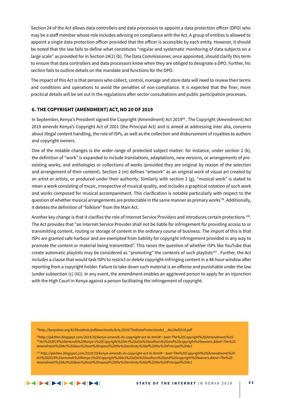Section 24 of the Act allows data controllers and data processors to appoint a data protection officer (DPO) who may be a staff member whose role includes advising on compliance with the Act. A group of entities is allowed to appoint a single data protection officer provided that the officer is accessible by each entity. However, it should be noted that the law fails to define what constitutes "regular and systematic monitoring of data subjects on a large scale" as provided for in Section 24(1) (b). The Data Commissioner, once appointed, should clarify this term to ensure that data controllers and data processors know when they are obliged to designate a DPO. Further, his section fails to outline details on the mandate and functions for the DPO.

The impact of this Act is that persons who collect, control, manage and store data will need to review their terms and conditions and operations to avoid the penalties of non-compliance. It is expected that the finer, more practical details will be set out in the regulations after sector consultations and public participation processes.

### **6. THE COPYRIGHT (AMENDMENT) ACT, NO 20 OF 2019**

In September, Kenya's President signed the Copyright (Amendment) Act 2019<sup>98</sup>. The Copyright (Amendment) Act 2019 amends Kenya's Copyright Act of 2001 (the Principal Act) and is aimed at addressing inter alia, concerns about illegal content handling, the role of ISPs, as well as the collection and disbursement of royalties to authors and copyright owners.

One of the notable changes is the wider range of protected subject matter: for instance, under section 2 (k), the definition of "work" is expanded to include translations, adaptations, new versions, or arrangements of preexisting works, and anthologies or collections of works (provided they are original by reason of the selection and arrangement of their content). Section 2 (m) defines "artwork" as an original work of visual art created by an artist or artists, or produced under their authority. Similarly with section 2  $(g)$ , "musical work" is stated to mean a work consisting of music, irrespective of musical quality, and includes a graphical notation of such work and works composed for musical accompaniment. This clarification is notable particularly with respect to the question of whether musical arrangements are protectable in the same manner as primary works <sup>99</sup>. Additionally, it deletes the definition of "folklore" from the Main Act.

Another key change is that it clarifies the role of Internet Service Providers and introduces certain protections 100. The Act provides that "an Internet Service Provider shall not be liable for infringement for providing access to or transmitting content, routing or storage of content in the ordinary course of business. The import of this is that ISPs are granted safe harbour and are exempted from liability for copyright infringement provided in any way to promote the content or material being transmitted". This raises the question of whether ISPs like YouTube that create automatic playlists may be considered as "promoting" the contents of such playlists<sup>101</sup>. Further, the Act includes a clause that would task ISPs to restrict or delete copyright-infringing content in a 48-hour window after reporting from a copyright holder. Failure to take down such material is an offense and punishable under the law (under subsection (c) (iii)). In any event, the amendment enables an aggrieved person to apply for an injunction with the High Court in Kenya against a person facilitating the infringement of copyright.

*98http://kenyalaw.org/kl/fileadmin/pdfdownloads/Acts/2019/TheDataProtectionAct\_\_No24of2019.pdf*

*99http://ipkitten.blogspot.com/2019/10/kenya-amends-its-copyright-act-to.html#:~:text=The%20Copyright%20(Amendment)%20 100Act%202019%20amends%20Kenya's%20Copyright%20Act%20of,to%20authors%20and%20copyright%20owners.&text=The%20 Amendment%20Act%20does%20not%20repeal%20the%20entirety%20of%20the%20Principal%20Act*

*101 http://ipkitten.blogspot.com/2019/10/kenya-amends-its-copyright-act-to.html#:~:text=The%20Copyright%20(Amendment)%20 Act%202019%20amends%20Kenya's%20Copyright%20Act%20of,to%20authors%20and%20copyright%20owners.&text=The%20 Amendment%20Act%20does%20not%20repeal%20the%20entirety%20of%20the%20Principal%20Act*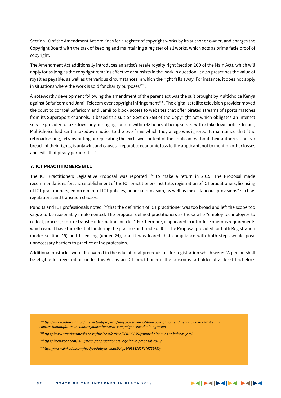Section 10 of the Amendment Act provides for a register of copyright works by its author or owner; and charges the Copyright Board with the task of keeping and maintaining a register of all works, which acts as prima facie proof of copyright.

The Amendment Act additionally introduces an artist's resale royalty right (section 26D of the Main Act), which will apply for as long as the copyright remains effective or subsists in the work in question. It also prescribes the value of royalties payable, as well as the various circumstances in which the right falls away. For instance, it does not apply in situations where the work is sold for charity purposes $102$ .

A noteworthy development following the amendment of the parent act was the suit brought by Multichoice Kenya against Safaricom and Jamii Telecom over copyright infringement<sup>103</sup>. The digital satellite television provider moved the court to compel Safaricom and Jamii to block access to websites that offer pirated streams of sports matches from its SuperSport channels. It based this suit on Section 35B of the Copyright Act which obligates an Internet service provider to take down any infringing content within 48 hours of being served with a takedown notice. In fact, MultiChoice had sent a takedown notice to the two firms which they allege was ignored. It maintained that "the rebroadcasting, retransmitting or replicating the exclusive content of the applicant without their authorization is a breach of their rights, is unlawful and causes irreparable economic loss to the applicant, not to mention other losses and evils that piracy perpetrates."

### **7. ICT PRACTITIONERS BILL**

The ICT Practitioners Legislative Proposal was reported 104 to make a return in 2019. The Proposal made recommendations for: the establishment of the ICT practitioners institute, registration of ICT practitioners, licensing of ICT practitioners, enforcement of ICT policies, financial provision, as well as miscellaneous provisions" such as regulations and transition clauses.

Pundits and ICT professionals noted 105that the definition of ICT practitioner was too broad and left the scope too vague to be reasonably implemented. The proposal defined practitioners as those who "employ technologies to collect, process, store or transfer information for a fee". Furthermore, it appeared to introduce onerous requirements which would have the effect of hindering the practice and trade of ICT. The Proposal provided for both Registration (under section 19) and Licensing (under 24), and it was feared that compliance with both steps would pose unnecessary barriers to practice of the profession.

Additional obstacles were discovered in the educational prerequisites for registration which were: "A person shall be eligible for registration under this Act as an ICT practitioner if the person is: a holder of at least bachelor's

*102https://www.adams.africa/intellectual-property/kenya-overview-of-the-copyright-amendment-act-20-of-2019/?utm\_ source=Mondaq&utm\_medium=syndication&utm\_campaign=LinkedIn-integration* 

*103https://www.standardmedia.co.ke/business/article/2001350354/multichoice-sues-safaricom-jamii*

*104https://techweez.com/2019/02/05/ict-practitioners-legislative-proposal-2018/*

*105https://www.linkedin.com/feed/update/urn:li:activity:6498383527476756480/*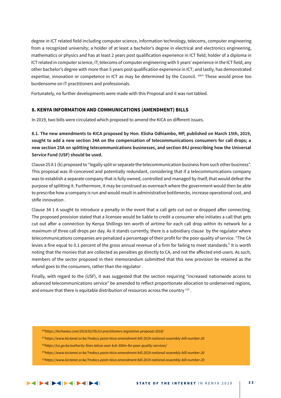degree in ICT related field including computer science, information technology, telecoms, computer engineering from a recognized university; a holder of at least a bachelor's degree in electrical and electronics engineering, mathematics or physics and has at least 2 years post qualification experience in ICT field; holder of a diploma in ICT related in computer science, IT, telecoms of computer engineering with 5 years' experience in the ICT field; any other bachelor's degree with more than 5 years post qualification experience in ICT; and lastly, has demonstrated expertise, innovation or competence in ICT as may be determined by the Council. 106" These would prove too burdensome on IT practitioners and professionals.

Fortunately, no further developments were made with this Proposal and it was not tabled.

### **8. KENYA INFORMATION AND COMMUNICATIONS (AMENDMENT) BILLS**

In 2019, two bills were circulated which proposed to amend the KICA on different issues.

**8.1. The new amendments to KICA proposed by Hon. Elisha Odhiambo, MP, published on March 15th, 2019, sought to add a new section 34A on the compensation of telecommunications consumers for call drops; a new section 25A on splitting telecommunications businesses, and section 84J prescribing how the Universal Service Fund (USF) should be used.** 

Clause 25 A 1 (b) proposed to "legally split or separate the telecommunication business from such other business". This proposal was ill-conceived and potentially redundant, considering that if a telecommunications company was to establish a separate company that is fully owned, controlled and managed by itself, that would defeat the purpose of splitting it. Furthermore, it may be construed as overreach where the government would then be able to prescribe how a company is run and would result in administrative bottlenecks, increase operational cost, and stifle innovation .

Clause 34 1 A sought to introduce a penalty in the event that a call gets cut out or dropped after connecting. The proposed provision stated that a licensee would be liable to credit a consumer who initiates a call that gets cut out after a connection by Kenya Shillings ten worth of airtime for each call drop within its network for a maximum of three call drops per day. As it stands currently, there is a subsidiary clause by the regulator where telecommunications companies are penalized a percentage of their profit for the poor quality of service. "The CA levies a fine equal to 0.1 percent of the gross annual revenue of a firm for failing to meet standards." It is worth noting that the monies that are collected as penalties go directly to CA, and not the affected end-users. As such, members of the sector proposed in their memorandum submitted that this new provision be retained as the refund goes to the consumers, rather than the regulator .

Finally, with regard to the (USF), it was suggested that the section requiring "increased nationwide access to advanced telecommunications service" be amended to reflect proportionate allocation to underserved regions, and ensure that there is equitable distribution of resources across the country <sup>110</sup>.

*110https://www.kictanet.or.ke/?mdocs-posts=kica-amendment-bill-2019-national-assembly-bill-number-20*

*<sup>106</sup>https://techweez.com/2019/02/05/ict-practitioners-legislative-proposal-2018/*

*<sup>107</sup>https://www.kictanet.or.ke/?mdocs-posts=kica-amendment-bill-2019-national-assembly-bill-number-20*

*<sup>108</sup>https://ca.go.ke/authority-fines-telcos-over-ksh-300m-for-poor-quality-services/*

*<sup>109</sup>https://www.kictanet.or.ke/?mdocs-posts=kica-amendment-bill-2019-national-assembly-bill-number-20*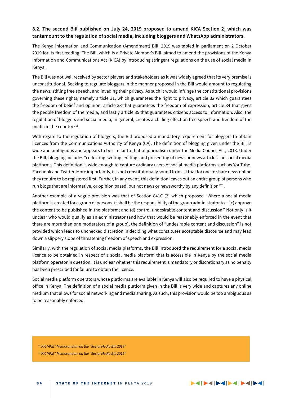### **8.2. The second Bill published on July 24, 2019 proposed to amend KICA Section 2, which was tantamount to the regulation of social media, including bloggers and WhatsApp administrators.**

The Kenya Information and Communication (Amendment) Bill, 2019 was tabled in parliament on 2 October 2019 for its first reading. The Bill, which is a Private Member's Bill, aimed to amend the provisions of the Kenya Information and Communications Act (KICA) by introducing stringent regulations on the use of social media in Kenya.

The Bill was not well received by sector players and stakeholders as it was widely agreed that its very premise is unconstitutional. Seeking to regulate bloggers in the manner proposed in the Bill would amount to regulating the news, stifling free speech, and invading their privacy. As such it would infringe the constitutional provisions governing these rights, namely article 31, which guarantees the right to privacy, article 32 which guarantees the freedom of belief and opinion, article 33 that guarantees the freedom of expression, article 34 that gives the people freedom of the media, and lastly article 35 that guarantees citizens access to information. Also, the regulation of bloggers and social media, in general, creates a chilling effect on free speech and freedom of the media in the country <sup>111</sup>.

With regard to the regulation of bloggers, the Bill proposed a mandatory requirement for bloggers to obtain licences from the Communications Authority of Kenya (CA). The definition of blogging given under the Bill is wide and ambiguous and appears to be similar to that of journalism under the Media Council Act, 2013. Under the Bill, blogging includes "collecting, writing, editing, and presenting of news or news articles" on social media platforms. This definition is wide enough to capture ordinary users of social media platforms such as YouTube, Facebook and Twitter. More importantly, it is not constitutionally sound to insist that for one to share news online they require to be registered first. Further, in any event, this definition leaves out an entire group of persons who run blogs that are informative, or opinion based, but not news or newsworthy by any definition $112$ .

Another example of a vague provision was that of Section 841C (2) which proposed "Where a social media platform is created for a group of persons, it shall be the responsibility of the group administrator to— (c) approve the content to be published in the platform; and (d) control undesirable content and discussion." Not only is it unclear who would qualify as an administrator (and how that would be reasonably enforced in the event that there are more than one moderators of a group), the definition of "undesirable content and discussion" is not provided which leads to unchecked discretion in deciding what constitutes acceptable discourse and may lead down a slippery slope of threatening freedom of speech and expression.

Similarly, with the regulation of social media platforms, the Bill introduced the requirement for a social media licence to be obtained in respect of a social media platform that is accessible in Kenya by the social media platform operator in question. It is unclear whether this requirement is mandatory or discretionary as no penalty has been prescribed for failure to obtain the licence.

Social media platform operators whose platforms are available in Kenya will also be required to have a physical office in Kenya. The definition of a social media platform given in the Bill is very wide and captures any online medium that allows for social networking and media sharing. As such, this provision would be too ambiguous as to be reasonably enforced.

*111KICTANET Memorandum on the "Social Media Bill 2019" 112KICTANET Memorandum on the "Social Media Bill 2019"*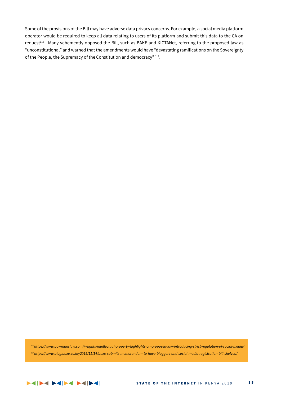Some of the provisions of the Bill may have adverse data privacy concerns. For example, a social media platform operator would be required to keep all data relating to users of its platform and submit this data to the CA on request<sup>113</sup>. Many vehemently opposed the Bill, such as BAKE and KICTANet, referring to the proposed law as "unconstitutional" and warned that the amendments would have "devastating ramifications on the Sovereignty of the People, the Supremacy of the Constitution and democracy" 114.

*113https://www.bowmanslaw.com/insights/intellectual-property/highlights-on-proposed-law-introducing-strict-regulation-of-social-media/ 114https://www.blog.bake.co.ke/2019/11/14/bake-submits-memorandum-to-have-bloggers-and-social-media-registration-bill-shelved/*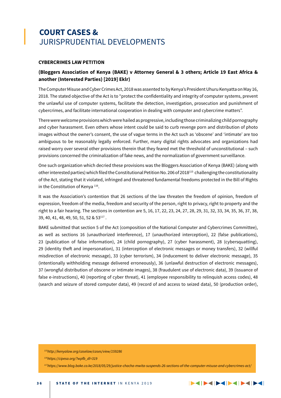### **COURT CASES &** JURISPRUDENTIAL DEVELOPMENTS

### **CYBERCRIMES LAW PETITION**

### **(Bloggers Association of Kenya (BAKE) v Attorney General & 3 others; Article 19 East Africa & another (Interested Parties) [2019] Eklr)**

The Computer Misuse and Cyber Crimes Act, 2018 was assented to by Kenya's President Uhuru Kenyatta on May 16, 2018. The stated objective of the Act is to "protect the confidentiality and integrity of computer systems, prevent the unlawful use of computer systems, facilitate the detection, investigation, prosecution and punishment of cybercrimes, and facilitate international cooperation in dealing with computer and cybercrime matters".

There were welcome provisions which were hailed as progressive, including those criminalizing child pornography and cyber harassment. Even others whose intent could be said to curb revenge porn and distribution of photo images without the owner's consent, the use of vague terms in the Act such as 'obscene' and 'intimate' are too ambiguous to be reasonably legally enforced. Further, many digital rights advocates and organizations had raised worry over several other provisions therein that they feared met the threshold of unconstitutional – such provisions concerned the criminalization of fake news, and the normalization of government surveillance.

One such organization which decried these provisions was the Bloggers Association of Kenya (BAKE) (along with other interested parties) which filed the Constitutional Petition No. 206 of 2018115 challenging the constitutionality of the Act, stating that it violated, infringed and threatened fundamental freedoms protected in the Bill of Rights in the Constitution of Kenya<sup>116</sup>.

It was the Association's contention that 26 sections of the law threaten the freedom of opinion, freedom of expression, freedom of the media, freedom and security of the person, right to privacy, right to property and the right to a fair hearing. The sections in contention are 5, 16, 17, 22, 23, 24, 27, 28, 29, 31, 32, 33, 34, 35, 36, 37, 38, 39, 40, 41, 48, 49, 50, 51, 52 & 53117 .

BAKE submitted that section 5 of the Act (composition of the National Computer and Cybercrimes Committee), as well as sections 16 (unauthorized interference), 17 (unauthorized interception), 22 (false publications), 23 (publication of false information), 24 (child pornography), 27 (cyber harassment), 28 (cybersquatting), 29 (identity theft and impersonation), 31 (interception of electronic messages or money transfers), 32 (willful misdirection of electronic message), 33 (cyber terrorism), 34 (inducement to deliver electronic message), 35 (intentionally withholding message delivered erroneously), 36 (unlawful destruction of electronic messages), 37 (wrongful distribution of obscene or intimate images), 38 (fraudulent use of electronic data), 39 (issuance of false e-instructions), 40 (reporting of cyber threat), 41 (employee responsibility to relinquish access codes), 48 (search and seizure of stored computer data), 49 (record of and access to seized data), 50 (production order),

*115http://kenyalaw.org/caselaw/cases/view/159286*

*116https://cipesa.org/?wpfb\_dl=319*

*117https://www.blog.bake.co.ke/2018/05/29/justice-chacha-mwita-suspends-26-sections-of-the-computer-misuse-and-cybercrimes-act/*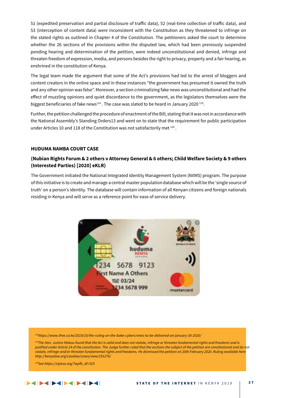51 (expedited preservation and partial disclosure of traffic data), 52 (real-time collection of traffic data), and 53 (interception of content data) were inconsistent with the Constitution as they threatened to infringe on the stated rights as outlined in Chapter 4 of the Constitution. The petitioners asked the court to determine whether the 26 sections of the provisions within the disputed law, which had been previously suspended pending hearing and determination of the petition, were indeed unconstitutional and denied, infringe and threaten freedom of expression, media, and persons besides the right to privacy, property and a fair hearing, as enshrined in the constitution of Kenya.

The legal team made the argument that some of the Act's provisions had led to the arrest of bloggers and content creators in the online space and in these instances "the government has presumed it owned the truth and any other opinion was false". Moreover, a section criminalizing fake news was unconstitutional and had the effect of muzzling opinions and quiet discordance to the government, as the legislators themselves were the biggest beneficiaries of fake news<sup>118</sup>. The case was slated to be heard in January 2020<sup>119</sup>.

Further, the petition challenged the procedure of enactment of the Bill, stating that it was not in accordance with the National Assembly's Standing Orders13 and went on to state that the requirement for public participation under Articles 10 and 118 of the Constitution was not satisfactorily met 120.

### **HUDUMA NAMBA COURT CASE**

### **(Nubian Rights Forum & 2 others v Attorney General & 6 others; Child Welfare Society & 9 others (Interested Parties) [2020] eKLR)**

The Government initiated the National Integrated Identity Management System (NIIMS) program. The purpose of this initiative is to create and manage a central master population database which will be the 'single source of truth' on a person's identity. The database will contain information of all Kenyan citizens and foreign nationals residing in Kenya and will serve as a reference point for ease of service delivery.



*118https://www.ifree.co.ke/2019/10/the-ruling-on-the-bake-cybercrimes-to-be-delivered-on-january-30-2020/*

*119The Hon. Justice Makau found that the Act is valid and does not violate, infringe or threaten fundamental rights and freedoms and is*  justified under Article 24 of the constitution. The Judge further ruled that the sections the subject of the petition are constitutional and do not *violate, infringe and/or threaten fundamental rights and freedoms. He dismissed the petition on 20th February 2020. Ruling available here http://kenyalaw.org/caselaw/cases/view/191276/*

*120See https://cipesa.org/?wpfb\_dl=319*

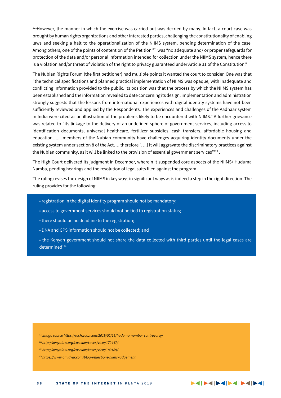$121$ However, the manner in which the exercise was carried out was decried by many. In fact, a court case was brought by human rights organizations and other interested parties, challenging the constitutionality of enabling laws and seeking a halt to the operationalization of the NIIMS system, pending determination of the case. Among others, one of the points of contention of the Petition<sup>122</sup> was "no adequate and/ or proper safeguards for protection of the data and/or personal information intended for collection under the NIIMS system, hence there is a violation and/or threat of violation of the right to privacy guaranteed under Article 31 of the Constitution."

The Nubian Rights Forum (the first petitioner) had multiple points it wanted the court to consider. One was that "the technical specifications and planned practical implementation of NIIMS was opaque, with inadequate and conflicting information provided to the public. Its position was that the process by which the NIIMS system has been established and the information revealed to date concerning its design, implementation and administration strongly suggests that the lessons from international experiences with digital identity systems have not been sufficiently reviewed and applied by the Respondents. The experiences and challenges of the Aadhaar system in India were cited as an illustration of the problems likely to be encountered with NIIMS." A further grievance was related to "its linkage to the delivery of an undefined sphere of government services, including access to identification documents, universal healthcare, fertilizer subsidies, cash transfers, affordable housing and education….. members of the Nubian community have challenges acquiring identity documents under the existing system under section 8 of the Act…. therefore [….] it will aggravate the discriminatory practices against the Nubian community, as it will be linked to the provision of essential government services"123.

The High Court delivered its judgment in December, wherein it suspended core aspects of the NIIMS/ Huduma Namba, pending hearings and the resolution of legal suits filed against the program.

The ruling revises the design of NIIMS in key ways in significant ways as is indeed a step in the right direction. The ruling provides for the following:

- registration in the digital identity program should not be mandatory;
- access to government services should not be tied to registration status;
- there should be no deadline to the registration;
- DNA and GPS information should not be collected; and
- the Kenyan government should not share the data collected with third parties until the legal cases are determined<sup>124</sup>

*121Image source https://techweez.com/2019/02/19/huduma-number-controversy/*

- *122http://kenyalaw.org/caselaw/cases/view/172447/*
- *123http://kenyalaw.org/caselaw/cases/view/189189/*

*124https://www.omidyar.com/blog/reflections-niims-judgement*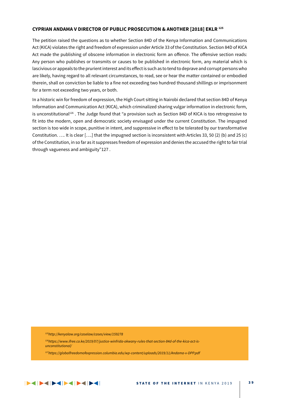### **CYPRIAN ANDAMA V DIRECTOR OF PUBLIC PROSECUTION & ANOTHER [2018] EKLR 125**

The petition raised the questions as to whether Section 84D of the Kenya Information and Communications Act (KICA) violates the right and freedom of expression under Article 33 of the Constitution. Section 84D of KICA Act made the publishing of obscene information in electronic form an offence. The offensive section reads: Any person who publishes or transmits or causes to be published in electronic form, any material which is lascivious or appeals to the prurient interest and its effect is such as to tend to deprave and corrupt persons who are likely, having regard to all relevant circumstances, to read, see or hear the matter contained or embodied therein, shall on conviction be liable to a fine not exceeding two hundred thousand shillings or imprisonment for a term not exceeding two years, or both.

In a historic win for freedom of expression, the High Court sitting in Nairobi declared that section 84D of Kenya Information and Communication Act (KICA), which criminalized sharing vulgar information in electronic form, is unconstitutional<sup>126</sup>. The Judge found that "a provision such as Section 84D of KICA is too retrogressive to fit into the modern, open and democratic society envisaged under the current Constitution. The impugned section is too wide in scope, punitive in intent, and suppressive in effect to be tolerated by our transformative Constitution. …. It is clear [….] that the impugned section is inconsistent with Articles 33, 50 (2) (b) and 25 (c) of the Constitution, in so far as it suppresses freedom of expression and denies the accused the right to fair trial through vagueness and ambiguity"127 .

*125http://kenyalaw.org/caselaw/cases/view/159278*

*126https://www.ifree.co.ke/2019/07/justice-winfrida-okwany-rules-that-section-84d-of-the-kica-act-isunconstitutional/*

*127https://globalfreedomofexpression.columbia.edu/wp-content/uploads/2019/11/Andama-v-DPP.pdf*

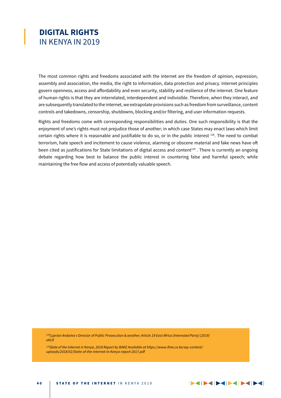### **DIGITAL RIGHTS** IN KENYA IN 2019

The most common rights and freedoms associated with the internet are the freedom of opinion, expression, assembly and association, the media, the right to information, data protection and privacy. Internet principles govern openness, access and affordability and even security, stability and resilience of the internet. One feature of human rights is that they are interrelated, interdependent and indivisible. Therefore, when they interact, and are subsequently translated to the internet, we extrapolate provisions such as freedom from surveillance, content controls and takedowns, censorship, shutdowns, blocking and/or filtering, and user information requests.

Rights and freedoms come with corresponding responsibilities and duties. One such responsibility is that the enjoyment of one's rights must not prejudice those of another; in which case States may enact laws which limit certain rights where it is reasonable and justifiable to do so, or in the public interest 128. The need to combat terrorism, hate speech and incitement to cause violence, alarming or obscene material and fake news have oft been cited as justifications for State limitations of digital access and content<sup>129</sup>. There is currently an ongoing debate regarding how best to balance the public interest in countering false and harmful speech; while maintaining the free flow and access of potentially valuable speech.

*128Cyprian Andama v Director of Public Prosecution & another; Article 19 East Africa (Interested Party) [2019] eKLR*

*129State of the Internet in Kenya, 2018 Report by BAKE Available at https://www.ifree.co.ke/wp-content/ uploads/2018/02/State-of-the-Internet-in-Kenya-report-2017.pdf*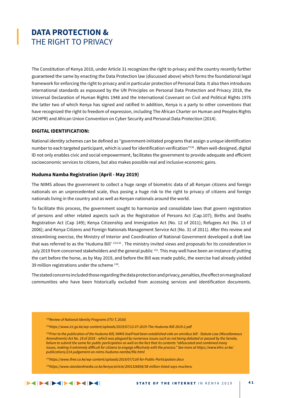### **DATA PROTECTION &** THE RIGHT TO PRIVACY

The Constitution of Kenya 2010, under Article 31 recognizes the right to privacy and the country recently further guaranteed the same by enacting the Data Protection law (discussed above) which forms the foundational legal framework for enforcing the right to privacy and in particular protection of Personal Data. It also then introduces international standards as espoused by the UN Principles on Personal Data Protection and Privacy 2018, the Universal Declaration of Human Rights 1948 and the International Covenant on Civil and Political Rights 1976 the latter two of which Kenya has signed and ratified In addition, Kenya is a party to other conventions that have recognized the right to freedom of expression, including The African Charter on Human and Peoples Rights (ACHPR) and African Union Convention on Cyber Security and Personal Data Protection (2014).

### **DIGITAL IDENTIFICATION:**

National identity schemes can be defined as "government-initiated programs that assign a unique identification number to each targeted participant, which is used for identification verification"<sup>130</sup>. When well-designed, digital ID not only enables civic and social empowerment, facilitates the government to provide adequate and efficient socioeconomic services to citizens, but also makes possible real and inclusive economic gains.

#### **Huduma Namba Registration (April - May 2019)**

The NIIMS allows the government to collect a huge range of biometric data of all Kenyan citizens and foreign nationals on an unprecedented scale, thus posing a huge risk to the right to privacy of citizens and foreign nationals living in the country and as well as Kenyan nationals around the world.

To facilitate this process, the government sought to harmonize and consolidate laws that govern registration of persons and other related aspects such as the Registration of Persons Act (Cap.107); Births and Deaths Registration Act (Cap 149); Kenya Citizenship and Immigration Act (No. 12 of 2011); Refugees Act (No. 13 of 2006); and Kenya Citizens and Foreign Nationals Management Service Act (No. 31 of 2011). After this review and streamlining exercise, the Ministry of Interior and Coordination of National Government developed a draft law that was referred to as the 'Huduma Bill' 131132 . The ministry invited views and proposals for its consideration in July 2019 from concerned stakeholders and the general public 133. This may well have been an instance of putting the cart before the horse, as by May 2019, and before the Bill was made public, the exercise had already yielded 39 million registrations under the scheme 134.

The stated concerns included those regarding the data protection and privacy, penalties, the effect on marginalized communities who have been historically excluded from accessing services and identification documents.

*131https://www.ict.go.ke/wp-content/uploads/2019/07/12-07-2019-The-Huduma-Bill-2019-2.pdf*

*132Prior to the publication of the Huduma Bill, NIIMS itself had been established vide an omnibus bill - Statute Law (Miscellaneous Amendments) Act No. 18 of 2018 – which was plagued by numerous issues such as not being debated or passed by the Senate, failure to submit the same for public participation as well as the fact that its contents "obfuscated and combined many issues, making it extremely difficult for citizens to engage effectively with the process." See more at https://www.khrc.or.ke/ publications/214-judgement-on-niims-huduma-namba/file.html*

*133https://www.ifree.co.ke/wp-content/uploads/2019/07/Call-for-Public-Participation.docx*

*<sup>130</sup>Review of National Identity Programs (ITU-T, 2016)*

*<sup>134</sup>https://www.standardmedia.co.ke/kenya/article/2001326858/38-million-listed-says-mucheru*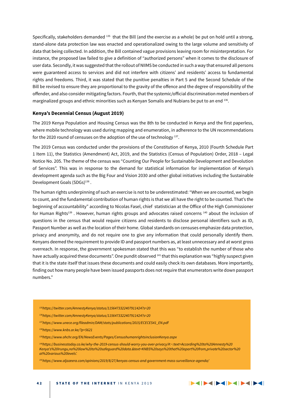Specifically, stakeholders demanded 135 that the Bill (and the exercise as a whole) be put on hold until a strong, stand-alone data protection law was enacted and operationalized owing to the large volume and sensitivity of data that being collected. In addition, the Bill contained vague provisions leaving room for misinterpretation. For instance, the proposed law failed to give a definition of "authorized persons" when it comes to the disclosure of user data. Secondly, it was suggested that the rollout of NIIMS be conducted in such a way that ensured all persons were guaranteed access to services and did not interfere with citizens' and residents' access to fundamental rights and freedoms. Third, it was stated that the punitive penalties in Part 5 and the Second Schedule of the Bill be revised to ensure they are proportional to the gravity of the offence and the degree of responsibility of the offender, and also consider mitigating factors. Fourth, that the systemic/official discrimination meted members of marginalized groups and ethnic minorities such as Kenyan Somalis and Nubians be put to an end 136.

### **Kenya's Decennial Census (August 2019)**

The 2019 Kenya Population and Housing Census was the 8th to be conducted in Kenya and the first paperless, where mobile technology was used during mapping and enumeration, in adherence to the UN recommendations for the 2020 round of censuses on the adoption of the use of technology<sup>137</sup>.

The 2019 Census was conducted under the provisions of the Constitution of Kenya, 2010 (Fourth Schedule Part 1 Item 11), the Statistics (Amendment) Act, 2019, and the Statistics (Census of Population) Order, 2018 – Legal Notice No. 205. The theme of the census was "Counting Our People for Sustainable Development and Devolution of Services". This was in response to the demand for statistical information for implementation of Kenya's development agenda such as the Big Four and Vision 2030 and other global initiatives including the Sustainable Development Goals (SDGs)<sup>138</sup>.

The human rights underpinning of such an exercise is not to be underestimated: "When we are counted, we begin to count, and the fundamental contribution of human rights is that we all have the right to be counted. That's the beginning of accountability" according to Nicolas Fasel, chief statistician at the Office of the High Commissioner for Human Rights<sup>139</sup>. However, human rights groups and advocates raised concerns <sup>140</sup> about the inclusion of questions in the census that would require citizens and residents to disclose personal identifiers such as ID, Passport Number as well as the location of their home. Global standards on censuses emphasize data protection, privacy and anonymity, and do not require one to give any information that could personally identify them. Kenyans deemed the requirement to provide ID and passport numbers as, at least unnecessary and at worst gross overreach. In response, the government spokesman stated that this was "to establish the number of those who have actually acquired these documents". One pundit observed <sup>141</sup> that this explanation was "highly suspect given that it is the state itself that issues these documents and could easily check its own databases. More importantly, finding out how many people have been issued passports does not require that enumerators write down passport numbers."

- *135https://twitter.com/AmnestyKenya/status/1156473322407911424?s=20*
- *136https://twitter.com/AmnestyKenya/status/1156473322407911424?s=20*
- *137https://www.unece.org/fileadmin/DAM/stats/publications/2015/ECECES41\_EN.pdf*
- *138https://www.knbs.or.ke/?p=5621*
- *139https://www.ohchr.org/EN/NewsEvents/Pages/CensushumanrightsinclusionKenya.aspx*

*140https://businesstoday.co.ke/why-the-2019-census-should-worry-you-over-privacy/#:~:text=According%20to%20Amnesty%20 Kenya's%20Irungu,no%20law%20to%20safeguard%20data.&text=KNBS%20says%20that%20apart%20from,private%20sector%20 at%20various%20levels'.*

*141https://www.aljazeera.com/opinions/2019/8/27/kenyas-census-and-government-mass-surveillance-agenda/*

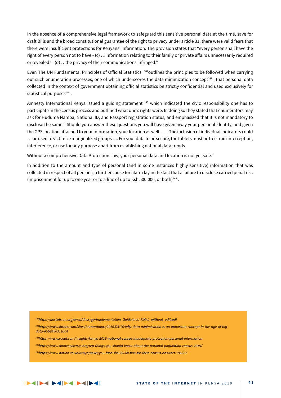In the absence of a comprehensive legal framework to safeguard this sensitive personal data at the time, save for draft Bills and the broad constitutional guarantee of the right to privacy under article 31, there were valid fears that there were insufficient protections for Kenyans' information. The provision states that "every person shall have the right of every person not to have - (c) …information relating to their family or private affairs unnecessarily required or revealed" - (d) …the privacy of their communications infringed."

Even The UN Fundamental Principles of Official Statistics  $142$  outlines the principles to be followed when carrying out such enumeration processes, one of which underscores the data minimization concept<sup>143</sup> : that personal data collected in the context of government obtaining official statistics be strictly confidential and used exclusively for statistical purposes<sup>144</sup>.

Amnesty International Kenya issued a guiding statement  $145$  which indicated the civic responsibility one has to participate in the census process and outlined what one's rights were. In doing so they stated that enumerators may ask for Huduma Namba, National ID, and Passport registration status, and emphasized that it is not mandatory to disclose the same. "Should you answer these questions you will have given away your personal identity, and given the GPS location attached to your information, your location as well. ….. The inclusion of individual indicators could … be used to victimize marginalized groups …. For your data to be secure, the tablets must be free from interception, interference, or use for any purpose apart from establishing national data trends.

Without a comprehensive Data Protection Law, your personal data and location is not yet safe."

In addition to the amount and type of personal (and in some instances highly sensitive) information that was collected in respect of all persons, a further cause for alarm lay in the fact that a failure to disclose carried penal risk (imprisonment for up to one year or to a fine of up to Ksh 500,000, or both) $146$ .

*142https://unstats.un.org/unsd/dnss/gp/Implementation\_Guidelines\_FINAL\_without\_edit.pdf*

- *143https://www.forbes.com/sites/bernardmarr/2016/03/16/why-data-minimization-is-an-important-concept-in-the-age-of-bigdata/#5b94903c1da4*
- *144https://www.roedl.com/insights/kenya-2019-national-census-inadequate-protection-personal-information*
- *145https://www.amnestykenya.org/ten-things-you-should-know-about-the-national-population-census-2019/*
- *146https://www.nation.co.ke/kenya/news/you-face-sh500-000-fine-for-false-census-answers-196882*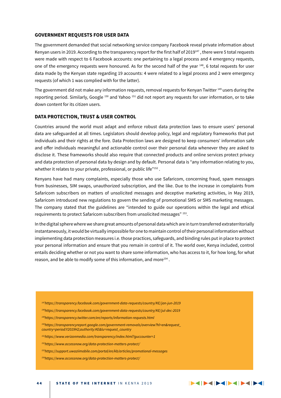### **GOVERNMENT REQUESTS FOR USER DATA**

The government demanded that social networking service company Facebook reveal private information about Kenyan users in 2019. According to the transparency report for the first half of 2019<sup>147</sup>, there were 5 total requests were made with respect to 6 Facebook accounts: one pertaining to a legal process and 4 emergency requests, one of the emergency requests were honoured. As for the second half of the year 148, 6 total requests for user data made by the Kenyan state regarding 19 accounts: 4 were related to a legal process and 2 were emergency requests (of which 1 was complied with for the latter).

The government did not make any information requests, removal requests for Kenyan Twitter 149 users during the reporting period. Similarly, Google <sup>150</sup> and Yahoo <sup>151</sup> did not report any requests for user information, or to take down content for its citizen users.

### **DATA PROTECTION, TRUST & USER CONTROL**

Countries around the world must adapt and enforce robust data protection laws to ensure users' personal data are safeguarded at all times. Legislators should develop policy, legal and regulatory frameworks that put individuals and their rights at the fore. Data Protection laws are designed to keep consumers' information safe and offer individuals meaningful and actionable control over their personal data whenever they are asked to disclose it. These frameworks should also require that connected products and online services protect privacy and data protection of personal data by design and by default. Personal data is "any information relating to you, whether it relates to your private, professional, or public life"<sup>152</sup>.

Kenyans have had many complaints, especially those who use Safaricom, concerning fraud, spam messages from businesses, SIM swaps, unauthorized subscription, and the like. Due to the increase in complaints from Safaricom subscribers on matters of unsolicited messages and deceptive marketing activities, in May 2019, Safaricom introduced new regulations to govern the sending of promotional SMS or SMS marketing messages. The company stated that the guidelines are "intended to guide our operations within the legal and ethical requirements to protect Safaricom subscribers from unsolicited messages" 153.

In the digital sphere where we share great amounts of personal data which are in turn transferred extraterritorially instantaneously, it would be virtually impossible for one to maintain control of their personal information without implementing data protection measures i.e. those practices, safeguards, and binding rules put in place to protect your personal information and ensure that you remain in control of it. The world over, Kenya included, control entails deciding whether or not you want to share some information, who has access to it, for how long, for what reason, and be able to modify some of this information, and more<sup>154</sup>.

- *147https://transparency.facebook.com/government-data-requests/country/KE/jan-jun-2019*
- *148https://transparency.facebook.com/government-data-requests/country/KE/jul-dec-2019*
- *149https://transparency.twitter.com/en/reports/information-requests.html*
- *150https://transparencyreport.google.com/government-removals/overview?hl=en&request\_ country=period:Y2019H2;authority:KE&lu=request\_country*
- *151https://www.verizonmedia.com/transparency/index.html?guccounter=1*
- *152https://www.accessnow.org/data-protection-matters-protect/*
- *153https://support.uwaziimobile.com/portal/en/kb/articles/promotional-messages*
- *154https://www.accessnow.org/data-protection-matters-protect/*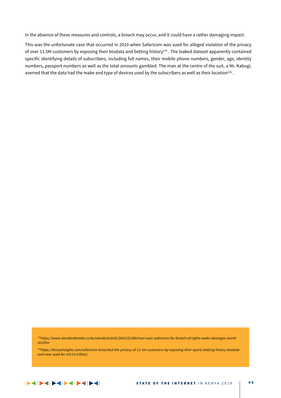In the absence of these measures and controls, a breach may occur, and it could have a rather damaging impact.

This was the unfortunate case that occurred in 2019 when Safaricom was sued for alleged violation of the privacy of over 11.5M customers by exposing their biodata and betting history<sup>155</sup>. The leaked dataset apparently contained specific identifying details of subscribers, including full names, their mobile phone numbers, gender, age, identity numbers, passport numbers as well as the total amounts gambled. The man at the centre of the suit, a Mr. Kabugi, averred that the data had the make and type of devices used by the subscribers as well as their location<sup>156</sup>.

*155https://www.standardmedia.co.ke/nairobi/article/2001331280/man-sues-safaricom-for-breach-of-rights-seeks-damages-worthsh100m*

*156https://kenyainsights.com/safaricom-breached-the-privacy-of-11-5m-customers-by-exposing-their-sports-betting-history-biodataand-now-sued-for-sh115-trillion/*

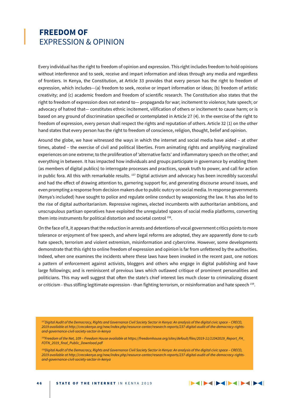### **FREEDOM OF**  EXPRESSION & OPINION

Every individual has the right to freedom of opinion and expression. This right includes freedom to hold opinions without interference and to seek, receive and impart information and ideas through any media and regardless of frontiers. In Kenya, the Constitution, at Article 33 provides that every person has the right to freedom of expression, which includes—(a) freedom to seek, receive or impart information or ideas; (b) freedom of artistic creativity; and (c) academic freedom and freedom of scientific research. The Constitution also states that the right to freedom of expression does not extend to— propaganda for war; incitement to violence; hate speech; or advocacy of hatred that— constitutes ethnic incitement, vilification of others or incitement to cause harm; or is based on any ground of discrimination specified or contemplated in Article 27 (4). In the exercise of the right to freedom of expression, every person shall respect the rights and reputation of others. Article 32 (1) on the other hand states that every person has the right to freedom of conscience, religion, thought, belief and opinion.

Around the globe, we have witnessed the ways in which the internet and social media have aided – at other times, abated – the exercise of civil and political liberties. From animating rights and amplifying marginalized experiences on one extreme; to the proliferation of 'alternative facts' and inflammatory speech on the other; and everything in between. It has impacted how individuals and groups participate in governance by enabling them (as members of digital publics) to interrogate processes and practices, speak truth to power, and call for action in public fora. All this with remarkable results. 157 Digital activism and advocacy has been incredibly successful and had the effect of drawing attention to, garnering support for, and generating discourse around issues, and even prompting a response from decision makers due to public outcry on social media. In response governments (Kenya's included) have sought to police and regulate online conduct by weaponizing the law. It has also led to the rise of digital authoritarianism. Repressive regimes, elected incumbents with authoritarian ambitions, and unscrupulous partisan operatives have exploited the unregulated spaces of social media platforms, converting them into instruments for political distortion and societal control 158.

On the face of it, it appears that the reduction in arrests and detentions of vocal government critics points to more tolerance or enjoyment of free speech, and where legal reforms are adopted, they are apparently done to curb hate speech, terrorism and violent extremism, misinformation and cybercrime. However, some developments demonstrate that this right to online freedom of expression and opinion is far from unfettered by the authorities. Indeed, when one examines the incidents where these laws have been invoked in the recent past, one notices a pattern of enforcement against activists, bloggers and others who engage in digital publishing and have large followings; and is reminiscent of previous laws which outlawed critique of prominent personalities and politicians. This may well suggest that often the state's chief interest lies much closer to criminalizing dissent or criticism - thus stifling legitimate expression - than fighting terrorism, or misinformation and hate speech 159.

*157Digital Audit of the Democracy, Rights and Governance Civil Society Sector in Kenya: An analysis of the digital civic space – CRECO, 2019 available at http://crecokenya.org/new/index.php/resource-center/research-reports/237-digital-audit-of-the-democracy-rightsand-governance-civil-society-sector-in-kenya*

*158Freedom of the Net, 109 – Freedom House available at https://freedomhouse.org/sites/default/files/2019-11/11042019\_Report\_FH\_ FOTN\_2019\_final\_Public\_Download.pdf*

*159Digital Audit of the Democracy, Rights and Governance Civil Society Sector in Kenya: An analysis of the digital civic space – CRECO, 2019 available at http://crecokenya.org/new/index.php/resource-center/research-reports/237-digital-audit-of-the-democracy-rightsand-governance-civil-society-sector-in-kenya*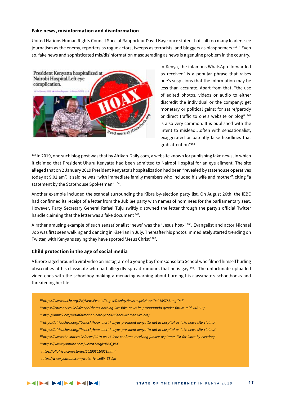### **Fake news, misinformation and disinformation**

United Nations Human Rights Council Special Rapporteur David Kaye once stated that "all too many leaders see journalism as the enemy, reporters as rogue actors, tweeps as terrorists, and bloggers as blasphemers.<sup>160</sup> " Even so, fake news and sophisticated mis/disinformation masquerading as news is a genuine problem in the country.



In Kenya, the infamous WhatsApp 'forwarded as received' is a popular phrase that raises one's suspicions that the information may be less than accurate. Apart from that, "the use of edited photos, videos or audio to either discredit the individual or the company; get monetary or political gains; for satire/parody or direct traffic to one's website or blog" 161 is also very common. It is published with the intent to mislead…often with sensationalist, exaggerated or patently false headlines that grab attention"162 .

<sup>163</sup> In 2019, one such blog post was that by Afrikan-Daily.com, a website known for publishing fake news, in which it claimed that President Uhuru Kenyatta had been admitted to Nairobi Hospital for an eye ailment. The site alleged that on 2 January 2019 President Kenyatta's hospitalization had been "revealed by statehouse operatives today at 9.01 am". It said he was "with immediate family members who included his wife and mother", citing "a statement by the Statehouse Spokesman" 164.

Another example included the scandal surrounding the Kibra by-election party list. On August 26th, the IEBC had confirmed its receipt of a letter from the Jubilee party with names of nominees for the parliamentary seat. However, Party Secretary General Rafael Tuju swiftly disowned the letter through the party's official Twitter handle claiming that the letter was a fake document 165.

A rather amusing example of such sensationalist 'news' was the 'Jesus hoax' 166. Evangelist and actor Michael Job was first seen walking and dancing in Kiserian in July. Thereafter his photos immediately started trending on Twitter, with Kenyans saying they have spotted 'Jesus Christ' 167.

### **Child protection in the age of social media**

A furore raged around a viral video on Instagram of a young boy from Consolata School who filmed himself hurling obscenities at his classmate who had allegedly spread rumours that he is gay  $168$ . The unfortunate uploaded video ends with the schoolboy making a menacing warning about burning his classmate's schoolbooks and threatening her life.

- *160https://www.ohchr.org/EN/NewsEvents/Pages/DisplayNews.aspx?NewsID=21557&LangID=E*
- *161https://citizentv.co.ke/lifestyle/theres-nothing-like-fake-news-its-propaganda-gender-forum-told-248113/*
- *162http://amwik.org/misinformation-catalyst-to-silence-womens-voices/*
- *163https://africacheck.org/fbcheck/hoax-alert-kenyas-president-kenyatta-not-in-hospital-as-fake-news-site-claims/*
- *164https://africacheck.org/fbcheck/hoax-alert-kenyas-president-kenyatta-not-in-hospital-as-fake-news-site-claims/*
- *165https://www.the-star.co.ke/news/2019-08-27-iebc-confirms-receiving-jubilee-aspirants-list-for-kibra-by-election/*
- *166https://www.youtube.com/watch?v=qjVgNVf\_kKY*
- *https://allafrica.com/stories/201908010023.html*
- *https://www.youtube.com/watch?v=spBV\_YSVijk*

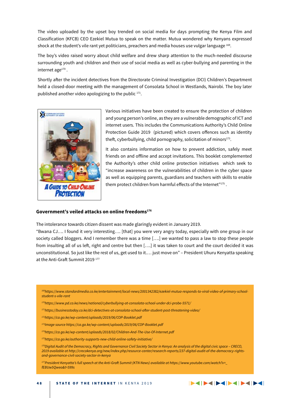The video uploaded by the upset boy trended on social media for days prompting the Kenya Film and Classification (KFCB) CEO Ezekiel Mutua to speak on the matter. Mutua wondered why Kenyans expressed shock at the student's vile rant yet politicians, preachers and media houses use vulgar language 169.

The boy's video raised worry about child welfare and drew sharp attention to the much-needed discourse surrounding youth and children and their use of social media as well as cyber-bullying and parenting in the internet age<sup>170</sup>.

Shortly after the incident detectives from the Directorate Criminal Investigation (DCI) Children's Department held a closed-door meeting with the management of Consolata School in Westlands, Nairobi. The boy later published another video apologizing to the public  $171$ .



Various initiatives have been created to ensure the protection of children and young person's online, as they are a vulnerable demographic of ICT and internet users. This includes the Communications Authority's Child Online Protection Guide 2019 (pictured) which covers offences such as identity theft, cyberbullying, child pornography, solicitation of minors $173$ .

It also contains information on how to prevent addiction, safely meet friends on and offline and accept invitations. This booklet complemented the Authority's other child online protection initiatives which seek to "increase awareness on the vulnerabilities of children in the cyber space as well as equipping parents, guardians and teachers with skills to enable them protect children from harmful effects of the Internet"<sup>175</sup>.

#### **Government's veiled attacks on online freedoms176**

The intolerance towards citizen dissent was made glaringly evident in January 2019.

"Bwana CJ…. I found it very interesting…. [that] you were very angry today, especially with one group in our society called bloggers. And I remember there was a time [….] we wanted to pass a law to stop these people from insulting all of us left, right and centre but then [….] it was taken to court and the court decided it was unconstitutional. So just like the rest of us, get used to it.… just move on" – President Uhuru Kenyatta speaking at the Anti-Graft Summit 2019<sup>177</sup>

- *169https://www.standardmedia.co.ke/entertainment/local-news/2001342382/ezekiel-mutua-responds-to-viral-video-of-primary-schoolstudent-s-vile-rant*
- *170https://www.pd.co.ke/news/national/cyberbullying-at-consolata-school-under-dci-probe-5571/*
- *171https://businesstoday.co.ke/dci-detectives-at-consolata-school-after-student-post-threatening-video/*
- *172https://ca.go.ke/wp-content/uploads/2019/06/COP-Booklet.pdf*
- *173Image source https://ca.go.ke/wp-content/uploads/2019/06/COP-Booklet.pdf*
- *174https://ca.go.ke/wp-content/uploads/2018/02/Children-And-The-Use-Of-Internet.pdf*
- *175https://ca.go.ke/authority-supports-new-child-online-safety-initiative/*
- *176Digital Audit of the Democracy, Rights and Governance Civil Society Sector in Kenya: An analysis of the digital civic space CRECO, 2019 available at http://crecokenya.org/new/index.php/resource-center/research-reports/237-digital-audit-of-the-democracy-rightsand-governance-civil-society-sector-in-kenya*

*177President Kenyatta's full speech at the Anti-Graft Summit (KTN News) available at https://www.youtube.com/watch?v=\_ fEBUw5Qweo&t=599s*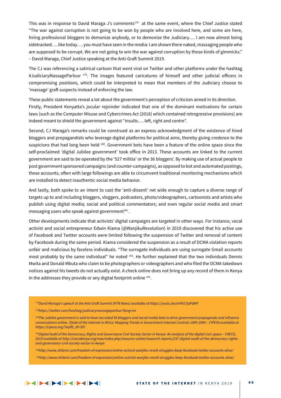This was in response to David Maraga J's comments<sup>178</sup> at the same event, where the Chief Justice stated "The war against corruption is not going to be won by people who are involved here, and some are here, hiring professional bloggers to demonize anybody, or to demonize the Judiciary…. I am now almost being sidetracked…. like today…. you must have seen in the media: I am shown there naked, massaging people who are supposed to be corrupt. We are not going to win the war against corruption by those kinds of gimmicks." – David Maraga, Chief Justice speaking at the Anti-Graft Summit 2019.

The CJ was referencing a satirical cartoon that went viral on Twitter and other platforms under the hashtag #JudiciaryMassageParlour 179. The images featured caricatures of himself and other judicial officers in compromising positions, which could be interpreted to mean that members of the Judiciary choose to 'massage' graft suspects instead of enforcing the law.

These public statements reveal a lot about the government's perception of criticism aimed in its direction. Firstly, President Kenyatta's jocular rejoinder indicated that one of the dominant motivations for certain laws (such as the Computer Misuse and Cybercrimes Act (2018) which contained retrogressive provisions) are indeed meant to shield the government against "insults…. left, right and centre".

Second, CJ Maraga's remarks could be construed as an express acknowledgment of the existence of hired bloggers and propagandists who leverage digital platforms for political aims, thereby giving credence to the suspicions that had long been held <sup>180</sup>. Government bots have been a feature of the online space since the self-proclaimed 'digital Jubilee government' took office in 2013. These accounts are linked to the current government are said to be operated by the '527 militia' or the 36 bloggers'. By making use of actual people to post government sponsored campaigns (and counter-campaigns), as opposed to bot and automated postings, these accounts, often with large followings are able to circumvent traditional monitoring mechanisms which are installed to detect inauthentic social media behavior.

And lastly, both spoke to an intent to cast the 'anti-dissent' net wide enough to capture a diverse range of targets up to and including bloggers, vloggers, podcasters, photo/videographers, cartoonists and artists who publish using digital media; social and political commentators; and even regular social media and smart messaging users who speak against government $181$ .

Other developments indicate that activists' digital campaigns are targeted in other ways. For instance, vocal activist and social entrepreneur Edwin Kiama (@WanjikuRevolution) in 2019 discovered that his active use of Facebook and Twitter accounts were limited following the suspension of Twitter and removal of content by Facebook during the same period. Kiama considered the suspension as a result of DCMA violation reports unfair and malicious by faceless individuals. "The surrogate individuals are using surrogate Gmail accounts most probably by the same individual" he noted 182. He further explained that the two individuals Dennis Mwita and Donald Mbuta who claim to be photographers or videographers and who filed the DCMA takedown notices against his tweets do not actually exist. A check online does not bring up any record of them in Kenya in the addresses they provide or any digital footprint online 183.

*<sup>178</sup>David Maraga's speech at the Anti-Graft Summit (KTN News) available at https://youtu.be/mFN17joPdMY*

*<sup>179</sup>https://twitter.com/hashtag/judiciarymassageparlour?lang=en*

<sup>&</sup>lt;sup>180</sup>The Jubilee government is said to have recruited 36 bloggers and social media bots to drive government propaganda and influence *conversations online. (State of the Internet in Africa: Mapping Trends in Government Internet Controls 1999-2009 – CIPESA available at https://cipesa.org/?wpfb\_dl=307*

*<sup>181</sup>Digital Audit of the Democracy, Rights and Governance Civil Society Sector in Kenya: An analysis of the digital civic space – CRECO, 2019 available at http://crecokenya.org/new/index.php/resource-center/research-reports/237-digital-audit-of-the-democracy-rightsand-governance-civil-society-sector-in-kenya*

*<sup>182</sup>http://www.shitemi.com/freedom-of-expression/online-activist-wanjiku-revolt-struggles-keep-facebook-twitter-accounts-alive/*

*<sup>183</sup>http://www.shitemi.com/freedom-of-expression/online-activist-wanjiku-revolt-struggles-keep-facebook-twitter-accounts-alive/*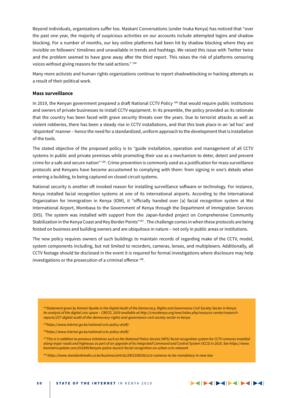Beyond individuals, organizations suffer too. Maskani Conversations (under Inuka Kenya) has noticed that "over the past one year, the majority of suspicious activities on our accounts include attempted logins and shadow blocking. For a number of months, our key online platforms had been hit by shadow blocking where they are invisible on followers' timelines and unavailable in trends and hashtags. We raised this issue with Twitter twice and the problem seemed to have gone away after the third report. This raises the risk of platforms censoring voices without giving reasons for the said actions." 184

Many more activists and human rights organizations continue to report shadowblocking or hacking attempts as a result of their political work.

### **Mass surveillance**

In 2019, the Kenyan government prepared a draft National CCTV Policy 185 that would require public institutions and owners of private businesses to install CCTV equipment. In its preamble, the policy provided as its rationale that the country has been faced with grave security threats over the years. Due to terrorist attacks as well as violent robberies, there has been a steady rise in CCTV installations, and that this took place in an 'ad hoc' and 'disjointed' manner – hence the need for a standardized, uniform approach to the development that is installation of the tools.

The stated objective of the proposed policy is to "guide installation, operation and management of all CCTV systems in public and private premises while promoting their use as a mechanism to deter, detect and prevent crime for a safe and secure nation" 186. Crime prevention is commonly used as a justification for mass surveillance protocols and Kenyans have become accustomed to complying with them: from signing in one's details when entering a building, to being captured on closed circuit systems.

National security is another oft invoked reason for installing surveillance software or technology. For instance, Kenya installed facial recognition systems at one of its international airports. According to the International Organization for Immigration in Kenya (IOM), it "officially handed over [a] facial recognition system at Moi International Airport, Mombasa to the Government of Kenya through the Department of Immigration Services (DIS). The system was installed with support from the Japan-funded project on Comprehensive Community Stabilization in the Kenya Coast and Key Border Points"<sup>187</sup>. The challenge comes in when these protocols are being foisted on business and building owners and are ubiquitous in nature – not only in public areas or institutions.

The new policy requires owners of such buildings to maintain records of regarding make of the CCTV, model, system components including, but not limited to recorders, cameras, lenses, and multiplexers. Additionally, all CCTV footage should be disclosed in the event it is required for formal investigations where disclosure may help investigations or the prosecution of a criminal offence 188.

*184Statement given by Kimani Nyoike in the Digital Audit of the Democracy, Rights and Governance Civil Society Sector in Kenya: An analysis of the digital civic space – CRECO, 2019 available at http://crecokenya.org/new/index.php/resource-center/researchreports/237-digital-audit-of-the-democracy-rights-and-governance-civil-society-sector-in-kenya*

*185https://www.interior.go.ke/national-cctv-policy-draft/*

*186https://www.interior.go.ke/national-cctv-policy-draft/*

<sup>187</sup>This is in addition to previous initiatives such as the National Police Service (NPS) facial recognition system for CCTV cameras installed *along major roads and highways as part of an upgrade of its Integrated Command and Control System (ICCS) in 2018. See https://www. biometricupdate.com/201809/kenyan-police-launch-facial-recognition-on-urban-cctv-network* 

*188 https://www.standardmedia.co.ke/business/article/2001336536/cctv-cameras-to-be-mandatory-in-new-law*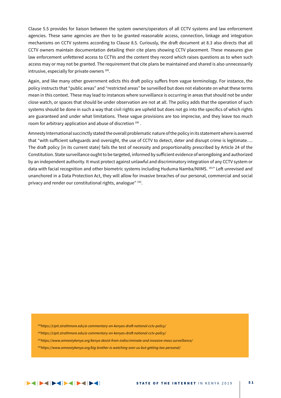Clause 5.5 provides for liaison between the system owners/operators of all CCTV systems and law enforcement agencies. These same agencies are then to be granted reasonable access, connection, linkage and integration mechanisms on CCTV systems according to Clause 8.5. Curiously, the draft document at 8.3 also directs that all CCTV owners maintain documentation detailing their cite plans showing CCTV placement. These measures give law enforcement unfettered access to CCTVs and the content they record which raises questions as to when such access may or may not be granted. The requirement that cite plans be maintained and shared is also unnecessarily intrusive, especially for private owners 189.

Again, and like many other government edicts this draft policy suffers from vague terminology. For instance, the policy instructs that "public areas" and "restricted areas" be surveilled but does not elaborate on what these terms mean in this context. These may lead to instances where surveillance is occurring in areas that should not be under close watch, or spaces that should be under observation are not at all. The policy adds that the operation of such systems should be done in such a way that civil rights are upheld but does not go into the specifics of which rights are guaranteed and under what limitations. These vague provisions are too imprecise, and they leave too much room for arbitrary application and abuse of discretion 190 .

Amnesty International succinctly stated the overall problematic nature of the policy in its statement where is averred that "with sufficient safeguards and oversight, the use of CCTV to detect, deter and disrupt crime is legitimate…. The draft policy [in its current state] fails the test of necessity and proportionality prescribed by Article 24 of the Constitution. State surveillance ought to be targeted, informed by sufficient evidence of wrongdoing and authorized by an independent authority. It must protect against unlawful and discriminatory integration of any CCTV system or data with facial recognition and other biometric systems including Huduma Namba/NIIMS. <sup>191</sup>" Left unrevised and unanchored in a Data Protection Act, they will allow for invasive breaches of our personal, commercial and social privacy and render our constitutional rights, analogue" 192.

*189https://cipit.strathmore.edu/a-commentary-on-kenyas-draft-national-cctv-policy/ 190https://cipit.strathmore.edu/a-commentary-on-kenyas-draft-national-cctv-policy/ 191https://www.amnestykenya.org/kenya-desist-from-indiscriminate-and-invasive-mass-surveillance/ 192https://www.amnestykenya.org/big-brother-is-watching-over-us-but-getting-too-personal/*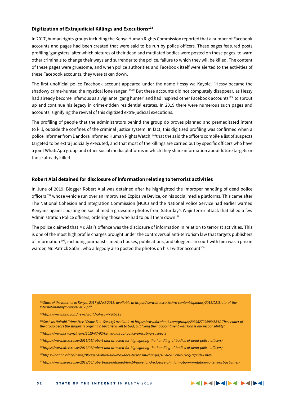### **Digitization of Extrajudicial Killings and Executions193**

In 2017, human rights groups including the Kenya Human Rights Commission reported that a number of Facebook accounts and pages had been created that were said to be run by police officers. These pages featured posts profiling 'gangsters' after which pictures of their dead and mutilated bodies were posted on these pages, to warn other criminals to change their ways and surrender to the police, failure to which they will be killed. The content of these pages were gruesome, and when police authorities and Facebook itself were alerted to the activities of these Facebook accounts, they were taken down.

The first unofficial police Facebook account appeared under the name Hessy wa Kayole. "Hessy became the shadowy crime-hunter, the mystical lone ranger. <sup>194</sup> But these accounts did not completely disappear, as Hessy had already become infamous as a vigilante 'gang hunter' and had inspired other Facebook accounts<sup>195</sup> to sprout up and continue his legacy in crime-ridden residential estates. In 2019 there were numerous such pages and accounts, signifying the revival of this digitized extra-judicial executions.

The profiling of people that the administrators behind the group do proves planned and premeditated intent to kill, outside the confines of the criminal justice system. In fact, this digitized profiling was confirmed when a police informer from Dandora informed Human Rights Watch 196that the said the officers compile a list of suspects targeted to be extra judicially executed, and that most of the killings are carried out by specific officers who have a joint WhatsApp group and other social media platforms in which they share information about future targets or those already killed.

### **Robert Alai detained for disclosure of information relating to terrorist activities**

In June of 2019, Blogger Robert Alai was detained after he highlighted the improper handling of dead police officers 197 whose vehicle run over an Improvised Explosive Device, on his social media platforms. This came after The National Cohesion and Integration Commission (NCIC) and the National Police Service had earlier warned Kenyans against posting on social media gruesome photos from Saturday's Wajir terror attack that killed a few Administration Police officers: ordering those who had to pull them down<sup>198</sup>

The police claimed that Mr. Alai's offence was the disclosure of information in relation to terrorist activities. This is one of the most high profile charges brought under the controversial anti-terrorism law that targets publishers of information 199, including journalists, media houses, publications, and bloggers. In court with him was a prison warder, Mr. Patrick Safari, who allegedly also posted the photos on his Twitter account<sup>200</sup>.

*193State of the Internet in Kenya, 2017 (BAKE 2018) available at https://www.ifree.co.ke/wp-content/uploads/2018/02/State-of-the-Internet-in-Kenya-report-2017.pdf*

*194https://www.bbc.com/news/world-africa-47805113*

- *195Such as Nairobi Crime Free (Crime Free Society) available at https://www.facebook.com/groups/2099527296954534/. The header of the group bears the slogan: "Forgiving a terrorist is left to God, but fixing their appointment with God is our responsibility".*
- *196https://www.hrw.org/news/2019/07/02/kenya-nairobi-police-executing-suspects*
- *197https://www.ifree.co.ke/2019/06/robert-alai-arrested-for-highlighting-the-handling-of-bodies-of-dead-police-officers/*
- *198https://www.ifree.co.ke/2019/06/robert-alai-arrested-for-highlighting-the-handling-of-bodies-of-dead-police-officers/*
- *199https://nation.africa/news/Blogger-Robert-Alai-may-face-terrorism-charges/1056-5162962-3kogl7z/index.html*
- *200https://www.ifree.co.ke/2019/06/robert-alai-detained-for-14-days-for-disclosure-of-information-in-relation-to-terrorist-activities/*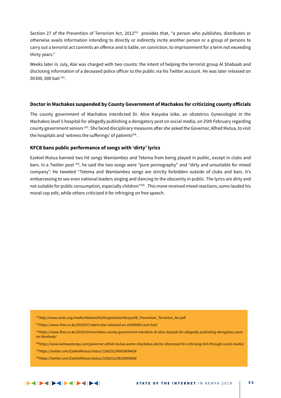Section 27 of the Prevention of Terrorism Act, 2012<sup>201</sup> provides that, "a person who publishes, distributes or otherwise avails information intending to directly or indirectly incite another person or a group of persons to carry out a terrorist act commits an offence and is liable, on conviction, to imprisonment for a term not exceeding thirty years."

Weeks later in July, Alai was charged with two counts: the intent of helping the terrorist group Al Shabaab and disclosing information of a deceased police officer to the public via his Twitter account. He was later released on Sh300, 000 bail 202.

### **Doctor in Machakos suspended by County Government of Machakos for criticizing county officials**

The county government of Machakos interdicted Dr. Alice Kasyoka Isike, an obstetrics Gynecologist in the Machakos level 5 hospital for allegedly publishing a derogatory post on social media, on 25th February regarding county government seniors 203. She faced disciplinary measures after she asked the Governor, Alfred Mutua, to visit the hospitals and 'witness the sufferings' of patients<sup>204</sup>.

### **KFCB bans public performance of songs with 'dirty' lyrics**

Ezekiel Mutua banned two hit songs Wamlambez and Tetema from being played in public, except in clubs and bars. In a Twitter post 205, he said the two songs were "pure pornography" and "dirty and unsuitable for mixed company". He tweeted "Tetema and Wamlambez songs are strictly forbidden outside of clubs and bars. It's embarrassing to see even national leaders singing and dancing to the obscenity in public. The lyrics are dirty and not suitable for public consumption, especially children"<sup>206</sup>. This move received mixed reactions, some lauded his moral cop edit, while others criticized it for infringing on free speech.

*201http://www.vertic.org/media/National%20Legislation/Kenya/KE\_Prevention\_Terrorism\_Act.pdf*

*202https://www.ifree.co.ke/2019/07/robert-alai-released-on-sh300000-cash-bail/*

*203https://www.ifree.co.ke/2019/03/machakos-county-government-interdicts-dr-alice-kasyoki-for-allegedly-publishing-derogatory-poston-facebook/*

*204https://www.kahawatungu.com/governor-alfred-mutua-wants-machakos-doctor-dismissed-for-criticising-him-through-social-media/*

*205https://twitter.com/EzekielMutua/status/1166251240650694656*

*206https://twitter.com/EzekielMutua/status/1166251238108909568*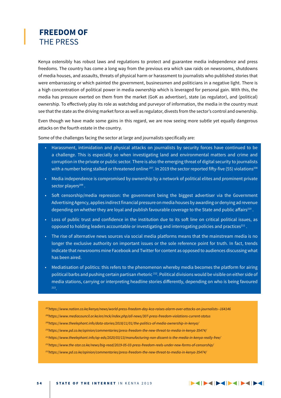### **FREEDOM OF** THE PRESS

Kenya ostensibly has robust laws and regulations to protect and guarantee media independence and press freedoms. The country has come a long way from the previous era which saw raids on newsrooms, shutdowns of media houses, and assaults, threats of physical harm or harassment to journalists who published stories that were embarrassing or which painted the government, businessmen and politicians in a negative light. There is a high concentration of political power in media ownership which is leveraged for personal gain. With this, the media has pressure exerted on them from the market (GoK as advertiser), state (as regulator), and (political) ownership. To effectively play its role as watchdog and purveyor of information, the media in the country must see that the state as the driving market force as well as regulator, divests from the sector's control and ownership.

Even though we have made some gains in this regard, we are now seeing more subtle yet equally dangerous attacks on the fourth estate in the country.

Some of the challenges facing the sector at large and journalists specifically are:

- Harassment, intimidation and physical attacks on journalists by security forces have continued to be a challenge. This is especially so when investigating land and environmental matters and crime and corruption in the private or public sector. There is also the emerging threat of digital security to journalists with a number being stalked or threatened online <sup>207</sup>. In 2019 the sector reported fifty-five (55) violations<sup>208</sup>
- Media independence is compromised by ownership by a network of political elites and prominent private sector players<sup>209</sup>.
- • Soft censorship/media repression: the government being the biggest advertiser via the Government Advertising Agency, applies indirect financial pressure on media houses by awarding or denying ad revenue depending on whether they are loyal and publish favourable coverage to the State and public affairs<sup>210</sup>.
- Loss of public trust and confidence in the institution due to its soft line on critical political issues, as opposed to holding leaders accountable or investigating and interrogating policies and practices $^{211}$ .
- • The rise of alternative news sources via social media platforms means that the mainstream media is no longer the exclusive authority on important issues or the sole reference point for truth. In fact, trends indicate that newsrooms mine Facebook and Twitter for content as opposed to audiences discussing what has been aired.
- Mediatisation of politics: this refers to the phenomenon whereby media becomes the platform for airing political barbs and pushing certain partisan rhetoric 212. Political divisions would be visible on either side of media stations, carrying or interpreting headline stories differently, depending on who is being favoured

*207https://www.nation.co.ke/kenya/news/world-press-freedom-day-kca-raises-alarm-over-attacks-on-journalists--164146*

*208https://www.mediacouncil.or.ke/en/mck/index.php/all-news/307-press-freedom-violations-current-status*

*209https://www.theelephant.info/data-stories/2018/11/01/the-politics-of-media-ownership-in-kenya/*

- *210https://www.pd.co.ke/opinion/commentaries/press-freedom-the-new-threat-to-media-in-kenya-35474/*
- *211https://www.theelephant.info/op-eds/2020/03/13/manufacturing-non-dissent-is-the-media-in-kenya-really-free/*

*212https://www.the-star.co.ke/news/big-read/2019-05-03-press-freedom-reels-under-new-forms-of-censorship/*

*213https://www.pd.co.ke/opinion/commentaries/press-freedom-the-new-threat-to-media-in-kenya-35474/*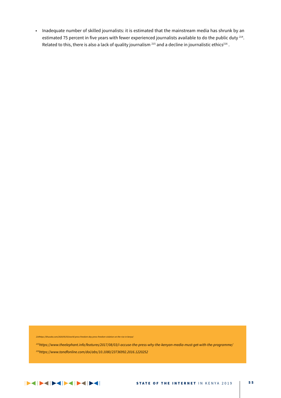• Inadequate number of skilled journalists: it is estimated that the mainstream media has shrunk by an estimated 75 percent in five years with fewer experienced journalists available to do the public duty <sup>214</sup>. Related to this, there is also a lack of quality journalism <sup>215</sup> and a decline in journalistic ethics<sup>216</sup>.

*214https://khusoko.com/2020/05/03/world-press-freedom-day-press-freedom-violation-on-the-rise-in-kenya/*

*215https://www.theelephant.info/features/2017/08/03/i-accuse-the-press-why-the-kenyan-media-must-get-with-the-programme/*

*216https://www.tandfonline.com/doi/abs/10.1080/23736992.2016.1220252*

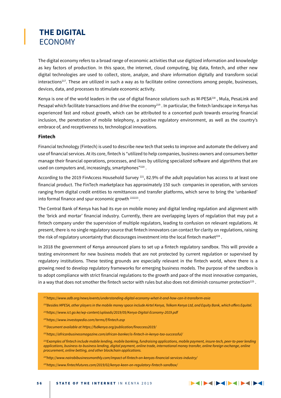### **THE DIGITAL** ECONOMY

The digital economy refers to a broad range of economic activities that use digitized information and knowledge as key factors of production. In this space, the internet, cloud computing, big data, fintech, and other new digital technologies are used to collect, store, analyze, and share information digitally and transform social interactions217. These are utilized in such a way as to facilitate online connections among people, businesses, devices, data, and processes to stimulate economic activity.

Kenya is one of the world leaders in the use of digital finance solutions such as M-PESA218 , Mula, PesaLink and Pesapal which facilitate transactions and drive the economy<sup>219</sup>. In particular, the fintech landscape in Kenya has experienced fast and robust growth, which can be attributed to a concerted push towards ensuring financial inclusion, the penetration of mobile telephony, a positive regulatory environment, as well as the country's embrace of, and receptiveness to, technological innovations.

### **Fintech**

Financial technology (Fintech) is used to describe new tech that seeks to improve and automate the delivery and use of financial services. At its core, fintech is "utilized to help companies, business owners and consumers better manage their financial operations, processes, and lives by utilizing specialized software and algorithms that are used on computers and, increasingly, smartphones"<sup>220</sup>.

According to the 2019 FinAccess Household Survey <sup>221</sup>, 82.9% of the adult population has access to at least one financial product. The FinTech marketplace has approximately 150 such companies in operation, with services ranging from digital credit entities to remittances and transfer platforms, which serve to bring the 'unbanked' into formal finance and spur economic growth 222223 .

The Central Bank of Kenya has had its eye on mobile money and digital lending regulation and alignment with the 'brick and mortar' financial industry. Currently, there are overlapping layers of regulation that may put a fintech company under the supervision of multiple regulators, leading to confusion on relevant regulations. At present, there is no single regulatory source that fintech innovators can contact for clarity on regulations, raising the risk of regulatory uncertainty that discourages investment into the local fintech market $^{224}$ .

In 2018 the government of Kenya announced plans to set up a fintech regulatory sandbox. This will provide a testing environment for new business models that are not protected by current regulation or supervised by regulatory institutions. These testing grounds are especially relevant in the fintech world, where there is a growing need to develop regulatory frameworks for emerging business models. The purpose of the sandbox is to adopt compliance with strict financial regulations to the growth and pace of the most innovative companies, in a way that does not smother the fintech sector with rules but also does not diminish consumer protection<sup>225</sup>.

- *217https://www.adb.org/news/events/understanding-digital-economy-what-it-and-how-can-it-transform-asia*
- *218Besides MPESA, other players in the mobile money space include Airtel Kenya, Telkom Kenya Ltd, and Equity Bank, which offers Equitel.*
- *219https://www.ict.go.ke/wp-content/uploads/2019/05/Kenya-Digital-Economy-2019.pdf*
- *220https://www.investopedia.com/terms/f/fintech.asp*
- *221Document available at https://fsdkenya.org/publication/finaccess2019/*
- *222https://africanbusinessmagazine.com/african-banker/is-fintech-in-kenya-too-successful/*
- *223Examples of fintech include mobile lending, mobile banking, fundraising applications, mobile payment, insure-tech, peer-to-peer lending applications, business-to-business lending, digital payment, online trade, international money transfer, online foreign exchange, online procurement, online betting, and other blockchain applications.*

 $|>1|>1|>1|>1|>1|>1|>1|>1|$ 

- *224http://www.nairobibusinessmonthly.com/impact-of-fintech-on-kenyas-financial-services-industry/*
- *225https://www.fintechfutures.com/2019/02/kenya-keen-on-regulatory-fintech-sandbox/*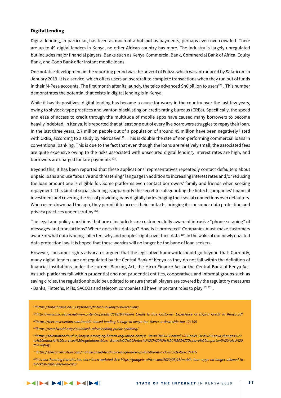### **Digital lending**

Digital lending, in particular, has been as much of a hotspot as payments, perhaps even overcrowded. There are up to 49 digital lenders in Kenya, no other African country has more. The industry is largely unregulated but includes major financial players. Banks such as Kenya Commercial Bank, Commercial Bank of Africa, Equity Bank, and Coop Bank offer instant mobile loans.

One notable development in the reporting period was the advent of Fuliza, which was introduced by Safaricom in January 2019. It is a service, which offers users an overdraft to complete transactions when they run out of funds in their M-Pesa accounts. The first month after its launch, the telco advanced Sh6 billion to users<sup>226</sup>. This number demonstrates the potential that exists in digital lending is in Kenya.

While it has its positives, digital lending has become a cause for worry in the country over the last few years, owing to shylock-type practices and wanton blacklisting on credit-rating bureaus (CRBs). Specifically, the speed and ease of access to credit through the multitude of mobile apps have caused many borrowers to become heavily indebted. In Kenya, it is reported that at least one out of every five borrowers struggles to repay their loan. In the last three years, 2.7 million people out of a population of around 45 million have been negatively listed with CRBS, according to a study by Microsave<sup>227</sup>. This is double the rate of non-performing commercial loans in conventional banking. This is due to the fact that even though the loans are relatively small, the associated fees are quite expensive owing to the risks associated with unsecured digital lending. Interest rates are high, and borrowers are charged for late payments<sup>228</sup>.

Beyond this, it has been reported that these applications' representatives repeatedly contact defaulters about unpaid loans and use "abusive and threatening" language in addition to increasing interest rates and/or reducing the loan amount one is eligible for. Some platforms even contact borrowers' family and friends when seeking repayment. This kind of social shaming is apparently the secret to safeguarding the fintech companies' financial investment and covering the risk of providing loans digitally by leveraging their social connections over defaulters. When users download the app, they permit it to access their contacts, bringing its consumer data protection and privacy practices under scrutiny 229.

The legal and policy questions that arose included: are customers fully aware of intrusive "phone-scraping" of messages and transactions? Where does this data go? How is it protected? Companies must make customers aware of what data is being collected, why and peoples' rights over their data <sup>230</sup>. In the wake of our newly enacted data protection law, it is hoped that these worries will no longer be the bane of loan seekers.

However, consumer rights advocates argued that the legislative framework should go beyond that. Currently, many digital lenders are not regulated by the Central Bank of Kenya as they do not fall within the definition of financial institutions under the current Banking Act, the Micro Finance Act or the Central Bank of Kenya Act. As such platforms fall within prudential and non-prudential entities, cooperatives and informal groups such as saving circles, the regulation should be updated to ensure that all players are covered by the regulatory measures - Banks, Fintechs, MFIs, SACCOs and telecom companies all have important roles to play <sup>231232</sup>.

*226https://fintechnews.ae/5330/fintech/fintech-in-kenya-an-overview/*

*227http://www.microsave.net/wp-content/uploads/2018/10/Where\_Credit\_Is\_Due\_Customer\_Experience\_of\_Digital\_Credit\_In\_Kenya.pdf 228https://theconversation.com/mobile-based-lending-is-huge-in-kenya-but-theres-a-downside-too-124195*

*229https://restofworld.org/2020/okash-microlending-public-shaming/*

*230https://talentinthecloud.io/kenyas-emerging-fintech-regulation-data/#:~:text=The%20Central%20Bank%20of%20Kenya,changes%20 to%20financial%20services%20regulations.&text=Banks%2C%20Fintechs%2C%20MFIs%2C%20SACCOs,have%20important%20roles%20 to%20play.*

*231https://theconversation.com/mobile-based-lending-is-huge-in-kenya-but-theres-a-downside-too-124195*

*232It is worth noting that this has since been updated. See https://gadgets-africa.com/2020/05/18/mobile-loan-apps-no-longer-allowed-toblacklist-defaulters-on-crbs/*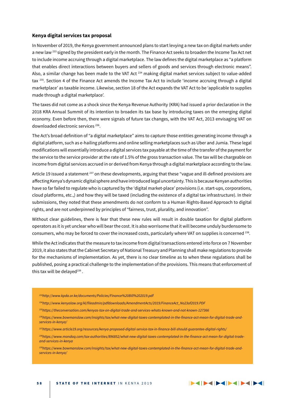#### **Kenya digital services tax proposal**

In November of 2019, the Kenya government announced plans to start levying a new tax on digital markets under a new law <sup>233</sup> signed by the president early in the month. The Finance Act seeks to broaden the Income Tax Act net to include income accruing through a digital marketplace. The law defines the digital marketplace as "a platform that enables direct interactions between buyers and sellers of goods and services through electronic means". Also, a similar change has been made to the VAT Act<sup>234</sup> making digital market services subject to value-added tax 235. Section 4 of the Finance Act amends the Income Tax Act to include 'income accruing through a digital marketplace' as taxable income. Likewise, section 18 of the Act expands the VAT Act to be 'applicable to supplies made through a digital marketplace'.

The taxes did not come as a shock since the Kenya Revenue Authority (KRA) had issued a prior declaration in the 2018 KRA Annual Summit of its intention to broaden its tax base by introducing taxes on the emerging digital economy. Even before then, there were signals of future tax changes, with the VAT Act, 2013 envisaging VAT on downloaded electronic services 236.

The Act's broad definition of "a digital marketplace" aims to capture those entities generating income through a digital platform, such as e-hailing platforms and online selling marketplaces such as Uber and Jumia. These legal modifications will essentially introduce a digital services tax payable at the time of the transfer of the payment for the service to the service provider at the rate of 1.5% of the gross transaction value. The tax will be chargeable on income from digital services accrued in or derived from Kenya through a digital marketplace according to the law.

Article 19 issued a statement <sup>237</sup> on these developments, arguing that these "vague and ill-defined provisions are affecting Kenya's dynamic digital sphere and have introduced legal uncertainty. This is because Kenyan authorities have so far failed to regulate who is captured by the 'digital market-place' provisions (i.e. start-ups, corporations, cloud platforms, etc.,) and how they will be taxed (including the existence of a digital tax infrastructure). In their submissions, they noted that these amendments do not conform to a Human Rights-Based Approach to digital rights, and are not underpinned by principles of "fairness, trust, plurality, and innovation".

Without clear guidelines, there is fear that these new rules will result in double taxation for digital platform operators as it is yet unclear who will bear the cost. It is also worrisome that it will become unduly burdensome to consumers, who may be forced to cover the increased costs, particularly where VAT on supplies is concerned 238.

While the Act indicates that the measure to tax income from digital transactions entered into force on 7 November 2019, it also states that the Cabinet Secretary of National Treasury and Planning shall make regulations to provide for the mechanisms of implementation. As yet, there is no clear timeline as to when these regulations shall be published, posing a practical challenge to the implementation of the provisions. This means that enforcement of this tax will be delayed $239$ .

- *233http://www.kpda.or.ke/documents/Policies/Finance%20Bill%202019.pdf*
- *234http://www.kenyalaw.org/kl/fileadmin/pdfdownloads/AmendmentActs/2019/FinanceAct\_No23of2019.PDF*
- *235https://theconversation.com/kenyas-tax-on-digital-trade-and-services-whats-known-and-not-known-127366*
- *236https://www.bowmanslaw.com/insights/tax/what-new-digital-taxes-contemplated-in-the-finance-act-mean-for-digital-trade-andservices-in-kenya/*
- *237https://www.article19.org/resources/kenya-proposed-digital-service-tax-in-finance-bill-should-guarantee-digital-rights/*
- *238https://www.mondaq.com/tax-authorities/896852/what-new-digital-taxes-contemplated-in-the-finance-act-mean-for-digital-tradeand-services-in-kenya*
- *239https://www.bowmanslaw.com/insights/tax/what-new-digital-taxes-contemplated-in-the-finance-act-mean-for-digital-trade-andservices-in-kenya/*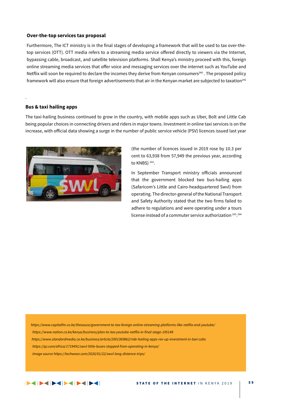#### **Over-the-top services tax proposal**

Furthermore, The ICT ministry is in the final stages of developing a framework that will be used to tax over-thetop services (OTT). OTT media refers to a streaming media service offered directly to viewers via the Internet, bypassing cable, broadcast, and satellite television platforms. Shall Kenya's ministry proceed with this, foreign online streaming media services that offer voice and messaging services over the internet such as YouTube and Netflix will soon be required to declare the incomes they derive from Kenyan consumers<sup>240</sup>. The proposed policy framework will also ensure that foreign advertisements that air in the Kenyan market are subjected to taxation<sup>242</sup>

#### **Bus & taxi hailing apps**

.

The taxi-hailing business continued to grow in the country, with mobile apps such as Uber, Bolt and Little Cab being popular choices in connecting drivers and riders in major towns. Investment in online taxi services is on the increase, with official data showing a surge in the number of public service vehicle (PSV) licences issued last year



(the number of licences issued in 2019 rose by 10.3 per cent to 63,938 from 57,949 the previous year, according to KNBS)<sup>242</sup>.

In September Transport ministry officials announced that the government blocked two bus-hailing apps (Safaricom's Little and Cairo-headquartered Swvl) from operating. The director-general of the National Transport and Safety Authority stated that the two firms failed to adhere to regulations and were operating under a tours license instead of a commuter service authorization 243. 244

*https://www.capitalfm.co.ke/thesauce/government-to-tax-foreign-online-streaming-platforms-like-netflix-and-youtube/ https://www.nation.co.ke/kenya/business/plan-to-tax-youtube-netflix-in-final-stage-195148 https://www.standardmedia.co.ke/business/article/2001369862/ride-hailing-apps-rev-up-investment-in-taxi-cabs https://qz.com/africa/1719491/swvl-little-buses-stopped-from-operating-in-kenya/ Image source https://techweez.com/2020/01/22/swvl-long-distance-trips/*

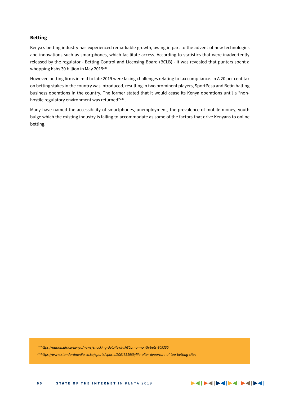### **Betting**

Kenya's betting industry has experienced remarkable growth, owing in part to the advent of new technologies and innovations such as smartphones, which facilitate access. According to statistics that were inadvertently released by the regulator - Betting Control and Licensing Board (BCLB) - it was revealed that punters spent a whopping Kshs 30 billion in May 2019<sup>245</sup>.

However, betting firms in mid to late 2019 were facing challenges relating to tax compliance. In A 20 per cent tax on betting stakes in the country was introduced, resulting in two prominent players, SportPesa and Betin halting business operations in the country. The former stated that it would cease its Kenya operations until a "nonhostile regulatory environment was returned"246.

Many have named the accessibility of smartphones, unemployment, the prevalence of mobile money, youth bulge which the existing industry is failing to accommodate as some of the factors that drive Kenyans to online betting.

*245https://nation.africa/kenya/news/shocking-details-of-sh30bn-a-month-bets-309350*

*246https://www.standardmedia.co.ke/sports/sports/2001351989/life-after-departure-of-top-betting-sites*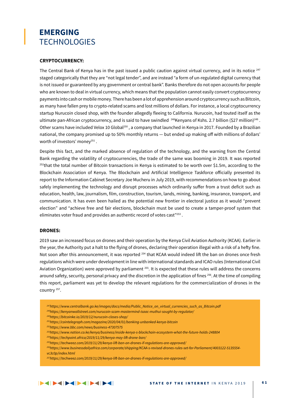### **EMERGING TECHNOLOGIES**

#### **CRYPTOCURRENCY:**

The Central Bank of Kenya has in the past issued a public caution against virtual currency, and in its notice <sup>247</sup> staged categorically that they are "not legal tender", and are instead "a form of un-regulated digital currency that is not issued or guaranteed by any government or central bank". Banks therefore do not open accounts for people who are known to deal in virtual currency, which means that the population cannot easily convert cryptocurrency payments into cash or mobile money. There has been a lot of apprehension around cryptocurrency such as Bitcoin, as many have fallen prey to crypto-related scams and lost millions of dollars. For instance, a local cryptocurrency startup Nurucoin closed shop, with the founder allegedly fleeing to California. Nurucoin, had touted itself as the ultimate pan-African cryptocurrency, and is said to have swindled <sup>248</sup>Kenyans of Kshs. 2.7 billion (\$27 million)<sup>249</sup>. Other scams have included Velox 10 Global<sup>250</sup>, a company that launched in Kenya in 2017. Founded by a Brazilian national, the company promised up to 50% monthly returns — but ended up making off with millions of dollars' worth of investors' money<sup>251</sup>.

Despite this fact, and the marked absence of regulation of the technology, and the warning from the Central Bank regarding the volatility of cryptocurrencies, the trade of the same was booming in 2019. It was reported  $252$ that the total number of Bitcoin transactions in Kenya is estimated to be worth over \$1.5m, according to the Blockchain Association of Kenya. The Blockchain and Artificial Intelligence Taskforce officially presented its report to the Information Cabinet Secretary Joe Mucheru in July 2019, with recommendations on how to go about safely implementing the technology and disrupt processes which ordinarily suffer from a trust deficit such as education, health, law, journalism, film, construction, tourism, lands, mining, banking, insurance, transport, and communication. It has even been hailed as the potential new frontier in electoral justice as it would "prevent election" and "achieve free and fair elections, blockchain must be used to create a tamper-proof system that eliminates voter fraud and provides an authentic record of votes cast"<sup>253</sup>.

### **DRONES:**

2019 saw an increased focus on drones and their operation by the Kenya Civil Aviation Authority (KCAA). Earlier in the year, the Authority put a halt to the flying of drones, declaring their operation illegal with a risk of a hefty fine. Not soon after this announcement, it was reported <sup>254</sup> that KCAA would indeed lift the ban on drones once fresh regulations which were under development in line with international standards and ICAO rules (International Civil Aviation Organization) were approved by parliament <sup>255</sup>. It is expected that these rules will address the concerns around safety, security, personal privacy and the discretion in the application of fines <sup>256</sup>. At the time of compiling this report, parliament was yet to develop the relevant regulations for the commercialization of drones in the country 257.

- *247https://www.centralbank.go.ke/images/docs/media/Public\_Notice\_on\_virtual\_currencies\_such\_as\_Bitcoin.pdf*
- *248https://kenyanwallstreet.com/nurucoin-scam-mastermind-isaac-muthui-sought-by-regulator/*
- *249https://bitcoinke.io/2019/12/nurucoin-closes-shop/*
- *251https://cointelegraph.com/magazine/2020/04/01/banking-unbanked-kenya-bitcoin*
- *252https://www.bbc.com/news/business-47307575*
- *253https://www.nation.co.ke/kenya/business/inside-kenya-s-blockchain-ecosystem-what-the-future-holds-248804*
- *254https://techpoint.africa/2019/11/29/kenya-may-lift-drone-ban/*
- *255https://techweez.com/2019/11/29/kenya-lift-ban-on-drones-if-regulations-are-approved/*
- *256https://www.businessdailyafrica.com/corporate/shipping/KCAA-s-revised-drones-rules-set-for-Parliament/4003122-5135554 vc3c0p/index.html*
- *257https://techweez.com/2019/11/29/kenya-lift-ban-on-drones-if-regulations-are-approved/*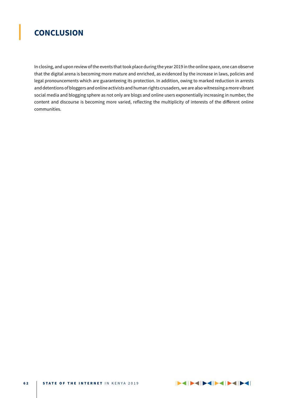### **CONCLUSION**

In closing, and upon review of the events that took place during the year 2019 in the online space, one can observe that the digital arena is becoming more mature and enriched, as evidenced by the increase in laws, policies and legal pronouncements which are guaranteeing its protection. In addition, owing to marked reduction in arrests and detentions of bloggers and online activists and human rights crusaders, we are also witnessing a more vibrant social media and blogging sphere as not only are blogs and online users exponentially increasing in number, the content and discourse is becoming more varied, reflecting the multiplicity of interests of the different online communities.

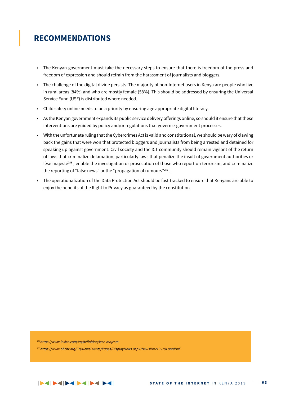### **RECOMMENDATIONS**

- • The Kenyan government must take the necessary steps to ensure that there is freedom of the press and freedom of expression and should refrain from the harassment of journalists and bloggers.
- • The challenge of the digital divide persists. The majority of non-Internet users in Kenya are people who live in rural areas (84%) and who are mostly female (58%). This should be addressed by ensuring the Universal Service Fund (USF) is distributed where needed.
- • Child safety online needs to be a priority by ensuring age appropriate digital literacy.
- • As the Kenyan government expands its public service delivery offerings online, so should it ensure that these interventions are guided by policy and/or regulations that govern e-government processes.
- • With the unfortunate ruling that the Cybercrimes Act is valid and constitutional, we should be wary of clawing back the gains that were won that protected bloggers and journalists from being arrested and detained for speaking up against government. Civil society and the ICT community should remain vigilant of the return of laws that criminalize defamation, particularly laws that penalize the insult of government authorities or lèse majesté<sup>258</sup>; enable the investigation or prosecution of those who report on terrorism; and criminalize the reporting of "false news" or the "propagation of rumours"<sup>259</sup>.
- The operationalization of the Data Protection Act should be fast-tracked to ensure that Kenyans are able to enjoy the benefits of the Right to Privacy as guaranteed by the constitution.

*258https://www.lexico.com/en/definition/lese-majeste*

*259https://www.ohchr.org/EN/NewsEvents/Pages/DisplayNews.aspx?NewsID=21557&LangID=E*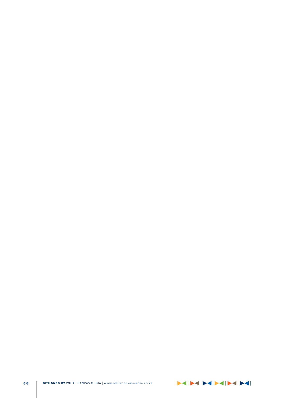DESIGNED BY WHITE CANVAS MEDIA | www.whitecanvasmedia.co.ke